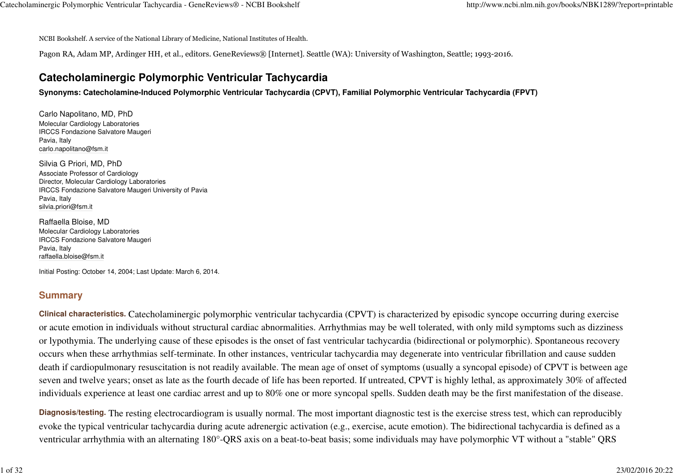NCBI Bookshelf. A service of the National Library of Medicine, National Institutes of Health.

Pagon RA, Adam MP, Ardinger HH, et al., editors. GeneReviews® [Internet]. Seattle (WA): University of Washington, Seattle; 1993-2016.

# **Catecholaminergic Polymorphic Ventricular Tachycardia**

**Synonyms: Catecholamine-Induced Polymorphic Ventricular Tachycardia (CPVT), Familial Polymorphic Ventricular Tachycardia (FPVT)**

Carlo Napolitano, MD, PhD Molecular Cardiology Laboratories IRCCS Fondazione Salvatore MaugeriPavia, Italycarlo.napolitano@fsm.it

Silvia G Priori, MD, PhD Associate Professor of Cardiology Director, Molecular Cardiology Laboratories IRCCS Fondazione Salvatore Maugeri University of PaviaPavia, Italysilvia.priori@fsm.it

Raffaella Bloise, MD Molecular Cardiology Laboratories IRCCS Fondazione Salvatore MaugeriPavia, Italyraffaella.bloise@fsm.it

Initial Posting: October 14, 2004; Last Update: March 6, 2014.

## **Summary**

**Clinical characteristics.**Catecholaminergic polymorphic ventricular tachycardia (CPVT) is characterized by episodic syncope occurring during exercise or acute emotion in individuals without structural cardiac abnormalities. Arrhythmias may be well tolerated, with only mild symptoms such as dizzinessor lypothymia. The underlying cause of these episodes is the onset of fast ventricular tachycardia (bidirectional or polymorphic). Spontaneous recovery occurs when these arrhythmias self-terminate. In other instances, ventricular tachycardia may degenerate into ventricular fibrillation and cause sudden death if cardiopulmonary resuscitation is not readily available. The mean age of onset of symptoms (usually a syncopal episode) of CPVT is between age seven and twelve years; onset as late as the fourth decade of life has been reported. If untreated, CPVT is highly lethal, as approximately 30% of affectedindividuals experience at least one cardiac arrest and up to 80% one or more syncopal spells. Sudden death may be the first manifestation of the disease.

**Diagnosis/testing.** The resting electrocardiogram is usually normal. The most important diagnostic test is the exercise stress test, which can reproducibly evoke the typical ventricular tachycardia during acute adrenergic activation (e.g., exercise, acute emotion). The bidirectional tachycardia is defined as aventricular arrhythmia with an alternating 180°-QRS axis on a beat-to-beat basis; some individuals may have polymorphic VT without a "stable" QRS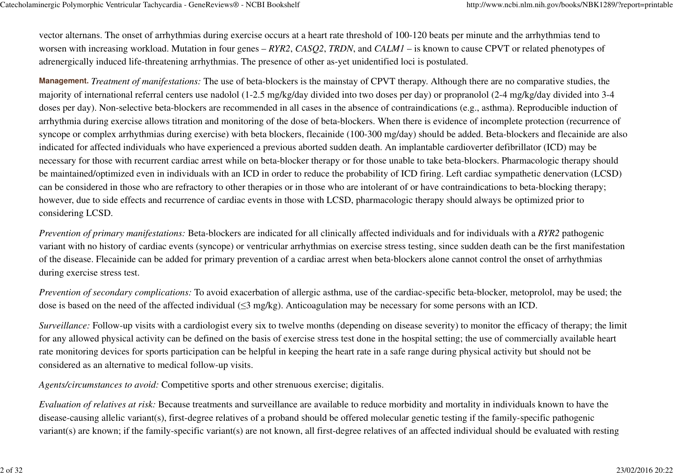vector alternans. The onset of arrhythmias during exercise occurs at a heart rate threshold of 100-120 beats per minute and the arrhythmias tend to worsen with increasing workload. Mutation in four genes – *RYR2*, *CASQ2*, *TRDN*, and *CALM1* – is known to cause CPVT or related phenotypes ofadrenergically induced life-threatening arrhythmias. The presence of other as-yet unidentified loci is postulated.

**Management.***Treatment of manifestations:* The use of beta-blockers is the mainstay of CPVT therapy. Although there are no comparative studies, the majority of international referral centers use nadolol (1-2.5 mg/kg/day divided into two doses per day) or propranolol (2-4 mg/kg/day divided into 3-4 doses per day). Non-selective beta-blockers are recommended in all cases in the absence of contraindications (e.g., asthma). Reproducible induction ofarrhythmia during exercise allows titration and monitoring of the dose of beta-blockers. When there is evidence of incomplete protection (recurrence ofsyncope or complex arrhythmias during exercise) with beta blockers, flecainide (100-300 mg/day) should be added. Beta-blockers and flecainide are alsoindicated for affected individuals who have experienced a previous aborted sudden death. An implantable cardioverter defibrillator (ICD) may benecessary for those with recurrent cardiac arrest while on beta-blocker therapy or for those unable to take beta-blockers. Pharmacologic therapy should be maintained/optimized even in individuals with an ICD in order to reduce the probability of ICD firing. Left cardiac sympathetic denervation (LCSD)can be considered in those who are refractory to other therapies or in those who are intolerant of or have contraindications to beta-blocking therapy;however, due to side effects and recurrence of cardiac events in those with LCSD, pharmacologic therapy should always be optimized prior toconsidering LCSD.

*Prevention of primary manifestations:* Beta-blockers are indicated for all clinically affected individuals and for individuals with a *RYR2* pathogenic variant with no history of cardiac events (syncope) or ventricular arrhythmias on exercise stress testing, since sudden death can be the first manifestationof the disease. Flecainide can be added for primary prevention of a cardiac arrest when beta-blockers alone cannot control the onset of arrhythmiasduring exercise stress test.

*Prevention of secondary complications:* To avoid exacerbation of allergic asthma, use of the cardiac-specific beta-blocker, metoprolol, may be used; thedose is based on the need of the affected individual (≤3 mg/kg). Anticoagulation may be necessary for some persons with an ICD.

*Surveillance:* Follow-up visits with a cardiologist every six to twelve months (depending on disease severity) to monitor the efficacy of therapy; the limit for any allowed physical activity can be defined on the basis of exercise stress test done in the hospital setting; the use of commercially available heartrate monitoring devices for sports participation can be helpful in keeping the heart rate in a safe range during physical activity but should not beconsidered as an alternative to medical follow-up visits.

*Agents/circumstances to avoid:* Competitive sports and other strenuous exercise; digitalis.

*Evaluation of relatives at risk:* Because treatments and surveillance are available to reduce morbidity and mortality in individuals known to have thedisease-causing allelic variant(s), first-degree relatives of a proband should be offered molecular genetic testing if the family-specific pathogenicvariant(s) are known; if the family-specific variant(s) are not known, all first-degree relatives of an affected individual should be evaluated with resting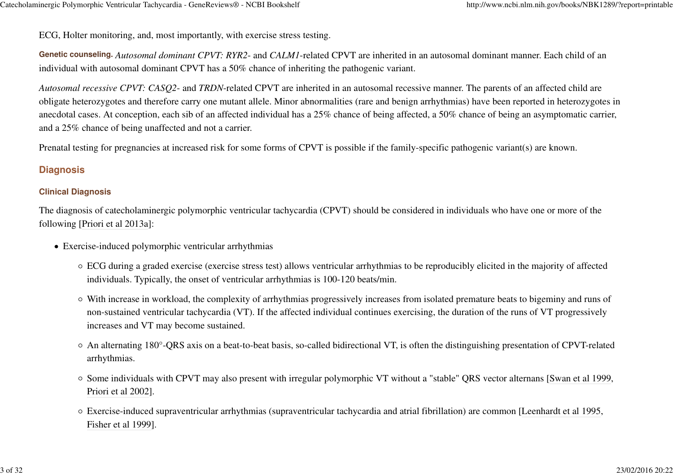ECG, Holter monitoring, and, most importantly, with exercise stress testing.

**Genetic counseling.***Autosomal dominant CPVT: RYR2*- and *CALM1*-related CPVT are inherited in an autosomal dominant manner. Each child of anindividual with autosomal dominant CPVT has a 50% chance of inheriting the pathogenic variant.

*Autosomal recessive CPVT: CASQ2*- and *TRDN*-related CPVT are inherited in an autosomal recessive manner. The parents of an affected child areobligate heterozygotes and therefore carry one mutant allele. Minor abnormalities (rare and benign arrhythmias) have been reported in heterozygotes in anecdotal cases. At conception, each sib of an affected individual has a 25% chance of being affected, a 50% chance of being an asymptomatic carrier,and a 25% chance of being unaffected and not a carrier.

Prenatal testing for pregnancies at increased risk for some forms of CPVT is possible if the family-specific pathogenic variant(s) are known.

### **Diagnosis**

#### **Clinical Diagnosis**

The diagnosis of catecholaminergic polymorphic ventricular tachycardia (CPVT) should be considered in individuals who have one or more of thefollowing [Priori et al 2013a]:

- Exercise-induced polymorphic ventricular arrhythmias
	- ECG during a graded exercise (exercise stress test) allows ventricular arrhythmias to be reproducibly elicited in the majority of affectedindividuals. Typically, the onset of ventricular arrhythmias is 100-120 beats/min.
	- With increase in workload, the complexity of arrhythmias progressively increases from isolated premature beats to bigeminy and runs ofnon-sustained ventricular tachycardia (VT). If the affected individual continues exercising, the duration of the runs of VT progressivelyincreases and VT may become sustained.
	- An alternating 180°-QRS axis on a beat-to-beat basis, so-called bidirectional VT, is often the distinguishing presentation of CPVT-relatedarrhythmias.
	- Some individuals with CPVT may also present with irregular polymorphic VT without a "stable" QRS vector alternans [Swan et al 1999,Priori et al 2002].
	- Exercise-induced supraventricular arrhythmias (supraventricular tachycardia and atrial fibrillation) are common [Leenhardt et al 1995,Fisher et al 1999].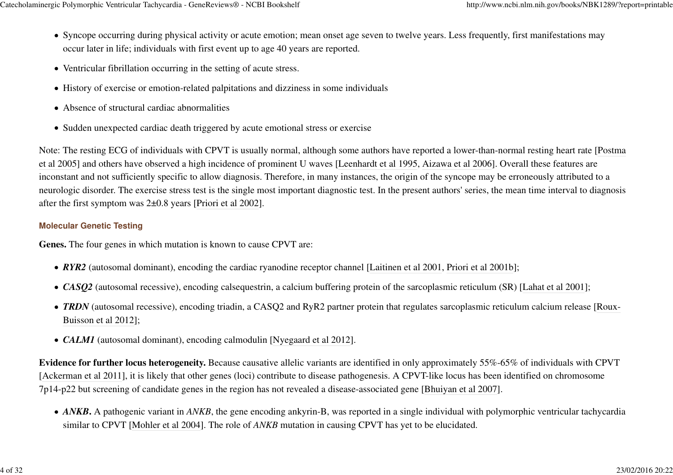- Syncope occurring during physical activity or acute emotion; mean onset age seven to twelve years. Less frequently, first manifestations may occur later in life; individuals with first event up to age 40 years are reported.
- Ventricular fibrillation occurring in the setting of acute stress.
- History of exercise or emotion-related palpitations and dizziness in some individuals
- Absence of structural cardiac abnormalities
- Sudden unexpected cardiac death triggered by acute emotional stress or exercise

Note: The resting ECG of individuals with CPVT is usually normal, although some authors have reported a lower-than-normal resting heart rate [Postmaet al 2005] and others have observed a high incidence of prominent U waves [Leenhardt et al 1995, Aizawa et al 2006]. Overall these features are inconstant and not sufficiently specific to allow diagnosis. Therefore, in many instances, the origin of the syncope may be erroneously attributed to a neurologic disorder. The exercise stress test is the single most important diagnostic test. In the present authors' series, the mean time interval to diagnosisafter the first symptom was 2±0.8 years [Priori et al 2002].

### **Molecular Genetic Testing**

**Genes.** The four genes in which mutation is known to cause CPVT are:

- *RYR2* (autosomal dominant), encoding the cardiac ryanodine receptor channel [Laitinen et al 2001, Priori et al 2001b];
- *CASO2* (autosomal recessive), encoding calsequestrin, a calcium buffering protein of the sarcoplasmic reticulum (SR) [Lahat et al 2001];
- **TRDN** (autosomal recessive), encoding triadin, a CASQ2 and RyR2 partner protein that regulates sarcoplasmic reticulum calcium release [Roux-Buisson et al 2012];
- *CALM1* (autosomal dominant), encoding calmodulin [Nyegaard et al 2012].

**Evidence for further locus heterogeneity.** Because causative allelic variants are identified in only approximately 55%-65% of individuals with CPVT[Ackerman et al 2011], it is likely that other genes (loci) contribute to disease pathogenesis. A CPVT-like locus has been identified on chromosome7p14-p22 but screening of candidate genes in the region has not revealed a disease-associated gene [Bhuiyan et al 2007].

• *ANKB*. A pathogenic variant in *ANKB*, the gene encoding ankyrin-B, was reported in a single individual with polymorphic ventricular tachycardia similar to CPVT [Mohler et al 2004]. The role of *ANKB* mutation in causing CPVT has yet to be elucidated.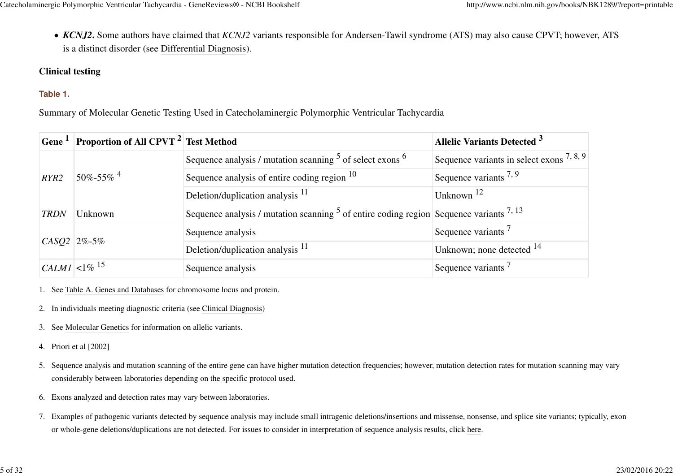*KCNJ2***.** Some authors have claimed that *KCNJ2* variants responsible for Andersen-Tawil syndrome (ATS) may also cause CPVT; however, ATSis a distinct disorder (see Differential Diagnosis).

## **Clinical testing**

## **Table 1.**

Summary of Molecular Genetic Testing Used in Catecholaminergic Polymorphic Ventricular Tachycardia

|                               | Gene <sup>1</sup> Proportion of All CPVT <sup>2</sup> Test Method |                                                                                             | <b>Allelic Variants Detected 3</b>           |
|-------------------------------|-------------------------------------------------------------------|---------------------------------------------------------------------------------------------|----------------------------------------------|
|                               | $50\% - 55\%$ <sup>4</sup>                                        | Sequence analysis / mutation scanning <sup>5</sup> of select exons <sup>6</sup>             | Sequence variants in select exons $^{7,8,9}$ |
| RYR2                          |                                                                   | Sequence analysis of entire coding region $10$                                              | Sequence variants $^{7,9}$                   |
|                               |                                                                   | Deletion/duplication analysis <sup>11</sup>                                                 | Unknown $12$                                 |
| <b>TRDN</b>                   | Unknown                                                           | Sequence analysis / mutation scanning $5$ of entire coding region Sequence variants $7, 13$ |                                              |
|                               | $CASQ2$ 2%-5%                                                     | Sequence analysis                                                                           | Sequence variants <sup>7</sup>               |
|                               |                                                                   | Deletion/duplication analysis <sup>11</sup>                                                 | Unknown; none detected $^{14}$               |
| $ CALMI  < 1\%$ <sup>15</sup> |                                                                   | Sequence analysis                                                                           | Sequence variants <sup>7</sup>               |

1. See Table A. Genes and Databases for chromosome locus and protein.

2. In individuals meeting diagnostic criteria (see Clinical Diagnosis)

- 3. See Molecular Genetics for information on allelic variants.
- 4.Priori et al [2002]
- 5. Sequence analysis and mutation scanning of the entire gene can have higher mutation detection frequencies; however, mutation detection rates for mutation scanning may vary considerably between laboratories depending on the specific protocol used.
- 6.Exons analyzed and detection rates may vary between laboratories.
- 7.Examples of pathogenic variants detected by sequence analysis may include small intragenic deletions/insertions and missense, nonsense, and splice site variants; typically, exonor whole-gene deletions/duplications are not detected. For issues to consider in interpretation of sequence analysis results, click here.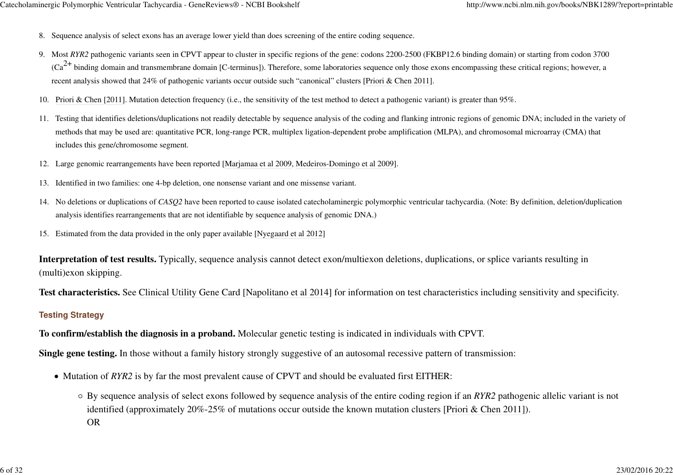- 8. Sequence analysis of select exons has an average lower yield than does screening of the entire coding sequence.
- 9. Most *RYR2* pathogenic variants seen in CPVT appear to cluster in specific regions of the gene: codons 2200-2500 (FKBP12.6 binding domain) or starting from codon 3700  $(Ca^{2+}$  binding domain and transmembrane domain [C-terminus]). Therefore, some laboratories sequence only those exons encompassing these critical regions; however, a recent analysis showed that 24% of pathogenic variants occur outside such "canonical" clusters [Priori & Chen 2011].
- 10. Priori & Chen [2011]. Mutation detection frequency (i.e., the sensitivity of the test method to detect a pathogenic variant) is greater than 95%.
- 11. Testing that identifies deletions/duplications not readily detectable by sequence analysis of the coding and flanking intronic regions of genomic DNA; included in the variety of methods that may be used are: quantitative PCR, long-range PCR, multiplex ligation-dependent probe amplification (MLPA), and chromosomal microarray (CMA) thatincludes this gene/chromosome segment.
- 12.Large genomic rearrangements have been reported [Marjamaa et al 2009, Medeiros-Domingo et al 2009].
- 13. Identified in two families: one 4-bp deletion, one nonsense variant and one missense variant.
- 14.No deletions or duplications of *CASQ2* have been reported to cause isolated catecholaminergic polymorphic ventricular tachycardia. (Note: By definition, deletion/duplicationanalysis identifies rearrangements that are not identifiable by sequence analysis of genomic DNA.)
- 15.Estimated from the data provided in the only paper available [Nyegaard et al 2012]

**Interpretation of test results.** Typically, sequence analysis cannot detect exon/multiexon deletions, duplications, or splice variants resulting in(multi)exon skipping.

**Test characteristics.** See Clinical Utility Gene Card [Napolitano et al 2014] for information on test characteristics including sensitivity and specificity.

#### **Testing Strategy**

**To confirm/establish the diagnosis in a proband.** Molecular genetic testing is indicated in individuals with CPVT.

**Single gene testing.** In those without a family history strongly suggestive of an autosomal recessive pattern of transmission:

- Mutation of *RYR2* is by far the most prevalent cause of CPVT and should be evaluated first EITHER:
	- By sequence analysis of select exons followed by sequence analysis of the entire coding region if an *RYR2* pathogenic allelic variant is notidentified (approximately 20%-25% of mutations occur outside the known mutation clusters [Priori & Chen 2011]).OR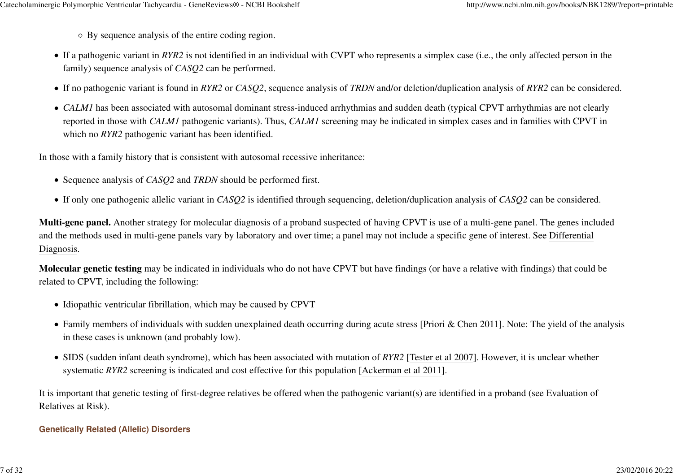By sequence analysis of the entire coding region.

- If a pathogenic variant in *RYR2* is not identified in an individual with CVPT who represents a simplex case (i.e., the only affected person in thefamily) sequence analysis of *CASQ2* can be performed.
- If no pathogenic variant is found in *RYR2* or *CASQ2*, sequence analysis of *TRDN* and/or deletion/duplication analysis of *RYR2* can be considered.
- *CALM1* has been associated with autosomal dominant stress-induced arrhythmias and sudden death (typical CPVT arrhythmias are not clearly reported in those with *CALM1* pathogenic variants). Thus, *CALM1* screening may be indicated in simplex cases and in families with CPVT inwhich no *RYR2* pathogenic variant has been identified.

In those with a family history that is consistent with autosomal recessive inheritance:

- Sequence analysis of *CASQ2* and *TRDN* should be performed first.
- If only one pathogenic allelic variant in *CASQ2* is identified through sequencing, deletion/duplication analysis of *CASQ2* can be considered.

**Multi-gene panel.** Another strategy for molecular diagnosis of a proband suspected of having CPVT is use of a multi-gene panel. The genes includedand the methods used in multi-gene panels vary by laboratory and over time; a panel may not include a specific gene of interest. See DifferentialDiagnosis.

**Molecular genetic testing** may be indicated in individuals who do not have CPVT but have findings (or have a relative with findings) that could berelated to CPVT, including the following:

- Idiopathic ventricular fibrillation, which may be caused by CPVT
- Family members of individuals with sudden unexplained death occurring during acute stress [Priori & Chen 2011]. Note: The yield of the analysis in these cases is unknown (and probably low).
- SIDS (sudden infant death syndrome), which has been associated with mutation of *RYR2* [Tester et al 2007]. However, it is unclear whether systematic *RYR2* screening is indicated and cost effective for this population [Ackerman et al 2011].

It is important that genetic testing of first-degree relatives be offered when the pathogenic variant(s) are identified in a proband (see Evaluation ofRelatives at Risk).

### **Genetically Related (Allelic) Disorders**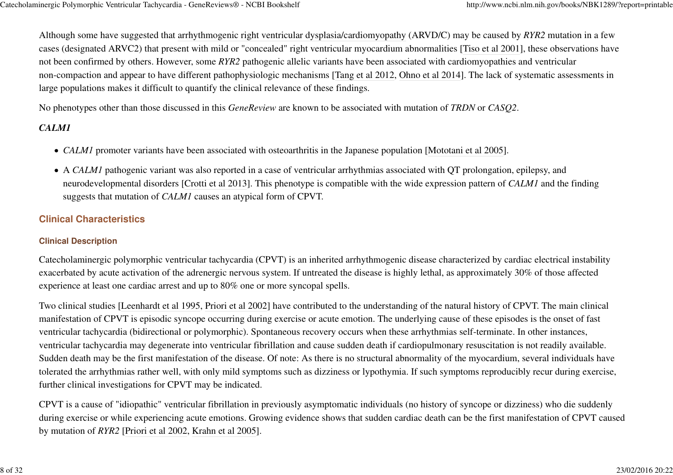Although some have suggested that arrhythmogenic right ventricular dysplasia/cardiomyopathy (ARVD/C) may be caused by *RYR2* mutation in a few cases (designated ARVC2) that present with mild or "concealed" right ventricular myocardium abnormalities [Tiso et al 2001], these observations havenot been confirmed by others. However, some *RYR2* pathogenic allelic variants have been associated with cardiomyopathies and ventricularnon-compaction and appear to have different pathophysiologic mechanisms [Tang et al 2012, Ohno et al 2014]. The lack of systematic assessments inlarge populations makes it difficult to quantify the clinical relevance of these findings.

No phenotypes other than those discussed in this *GeneReview* are known to be associated with mutation of *TRDN* or *CASQ2*.

# *CALM1*

- *CALM1* promoter variants have been associated with osteoarthritis in the Japanese population [Mototani et al 2005].
- A *CALM1* pathogenic variant was also reported in a case of ventricular arrhythmias associated with QT prolongation, epilepsy, and neurodevelopmental disorders [Crotti et al 2013]. This phenotype is compatible with the wide expression pattern of *CALM1* and the findingsuggests that mutation of *CALM1* causes an atypical form of CPVT.

# **Clinical Characteristics**

## **Clinical Description**

Catecholaminergic polymorphic ventricular tachycardia (CPVT) is an inherited arrhythmogenic disease characterized by cardiac electrical instabilityexacerbated by acute activation of the adrenergic nervous system. If untreated the disease is highly lethal, as approximately 30% of those affectedexperience at least one cardiac arrest and up to 80% one or more syncopal spells.

Two clinical studies [Leenhardt et al 1995, Priori et al 2002] have contributed to the understanding of the natural history of CPVT. The main clinicalmanifestation of CPVT is episodic syncope occurring during exercise or acute emotion. The underlying cause of these episodes is the onset of fastventricular tachycardia (bidirectional or polymorphic). Spontaneous recovery occurs when these arrhythmias self-terminate. In other instances,ventricular tachycardia may degenerate into ventricular fibrillation and cause sudden death if cardiopulmonary resuscitation is not readily available.Sudden death may be the first manifestation of the disease. Of note: As there is no structural abnormality of the myocardium, several individuals have tolerated the arrhythmias rather well, with only mild symptoms such as dizziness or lypothymia. If such symptoms reproducibly recur during exercise,further clinical investigations for CPVT may be indicated.

CPVT is a cause of "idiopathic" ventricular fibrillation in previously asymptomatic individuals (no history of syncope or dizziness) who die suddenly during exercise or while experiencing acute emotions. Growing evidence shows that sudden cardiac death can be the first manifestation of CPVT causedby mutation of *RYR2* [Priori et al 2002, Krahn et al 2005].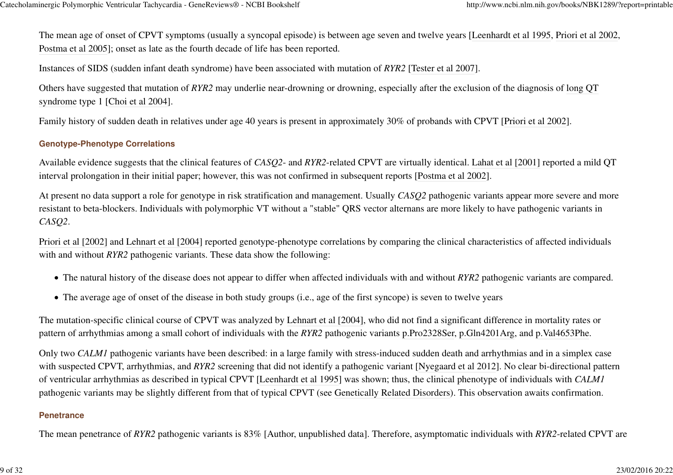The mean age of onset of CPVT symptoms (usually a syncopal episode) is between age seven and twelve years [Leenhardt et al 1995, Priori et al 2002,Postma et al 2005]; onset as late as the fourth decade of life has been reported.

Instances of SIDS (sudden infant death syndrome) have been associated with mutation of *RYR2* [Tester et al 2007].

Others have suggested that mutation of *RYR2* may underlie near-drowning or drowning, especially after the exclusion of the diagnosis of long QTsyndrome type 1 [Choi et al 2004].

Family history of sudden death in relatives under age 40 years is present in approximately 30% of probands with CPVT [Priori et al 2002].

#### **Genotype-Phenotype Correlations**

Available evidence suggests that the clinical features of *CASQ2*- and *RYR2*-related CPVT are virtually identical. Lahat et al [2001] reported a mild QTinterval prolongation in their initial paper; however, this was not confirmed in subsequent reports [Postma et al 2002].

At present no data support a role for genotype in risk stratification and management. Usually *CASQ2* pathogenic variants appear more severe and moreresistant to beta-blockers. Individuals with polymorphic VT without a "stable" QRS vector alternans are more likely to have pathogenic variants in*CASQ2*.

Priori et al [2002] and Lehnart et al [2004] reported genotype-phenotype correlations by comparing the clinical characteristics of affected individualswith and without *RYR2* pathogenic variants. These data show the following:

- The natural history of the disease does not appear to differ when affected individuals with and without *RYR2* pathogenic variants are compared.
- The average age of onset of the disease in both study groups (i.e., age of the first syncope) is seven to twelve years

The mutation-specific clinical course of CPVT was analyzed by Lehnart et al [2004], who did not find a significant difference in mortality rates orpattern of arrhythmias among a small cohort of individuals with the *RYR2* pathogenic variants p.Pro2328Ser, p.Gln4201Arg, and p.Val4653Phe.

Only two *CALM1* pathogenic variants have been described: in a large family with stress-induced sudden death and arrhythmias and in a simplex case with suspected CPVT, arrhythmias, and *RYR2* screening that did not identify a pathogenic variant [Nyegaard et al 2012]. No clear bi-directional patternof ventricular arrhythmias as described in typical CPVT [Leenhardt et al 1995] was shown; thus, the clinical phenotype of individuals with *CALM1*pathogenic variants may be slightly different from that of typical CPVT (see Genetically Related Disorders). This observation awaits confirmation.

#### **Penetrance**

The mean penetrance of *RYR2* pathogenic variants is 83% [Author, unpublished data]. Therefore, asymptomatic individuals with *RYR2*-related CPVT are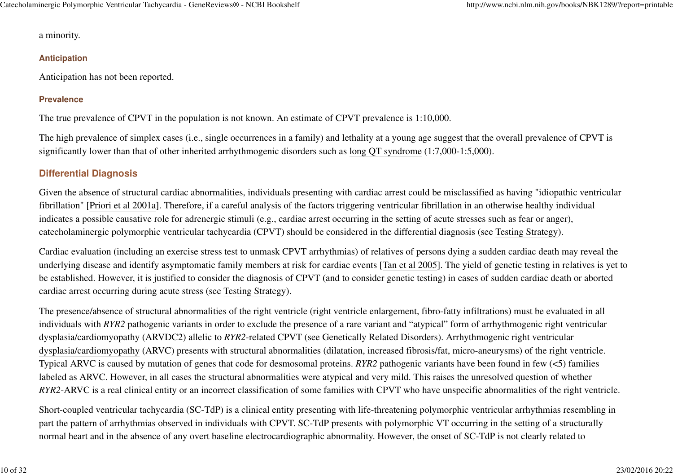a minority.

#### **Anticipation**

Anticipation has not been reported.

## **Prevalence**

The true prevalence of CPVT in the population is not known. An estimate of CPVT prevalence is 1:10,000.

The high prevalence of simplex cases (i.e., single occurrences in a family) and lethality at a young age suggest that the overall prevalence of CPVT issignificantly lower than that of other inherited arrhythmogenic disorders such as long QT syndrome (1:7,000-1:5,000).

# **Differential Diagnosis**

Given the absence of structural cardiac abnormalities, individuals presenting with cardiac arrest could be misclassified as having "idiopathic ventricularfibrillation" [Priori et al 2001a]. Therefore, if a careful analysis of the factors triggering ventricular fibrillation in an otherwise healthy individualindicates a possible causative role for adrenergic stimuli (e.g., cardiac arrest occurring in the setting of acute stresses such as fear or anger),catecholaminergic polymorphic ventricular tachycardia (CPVT) should be considered in the differential diagnosis (see Testing Strategy).

Cardiac evaluation (including an exercise stress test to unmask CPVT arrhythmias) of relatives of persons dying a sudden cardiac death may reveal the underlying disease and identify asymptomatic family members at risk for cardiac events [Tan et al 2005]. The yield of genetic testing in relatives is yet tobe established. However, it is justified to consider the diagnosis of CPVT (and to consider genetic testing) in cases of sudden cardiac death or abortedcardiac arrest occurring during acute stress (see Testing Strategy).

The presence/absence of structural abnormalities of the right ventricle (right ventricle enlargement, fibro-fatty infiltrations) must be evaluated in allindividuals with *RYR2* pathogenic variants in order to exclude the presence of a rare variant and "atypical" form of arrhythmogenic right ventriculardysplasia/cardiomyopathy (ARVDC2) allelic to *RYR2*-related CPVT (see Genetically Related Disorders). Arrhythmogenic right ventriculardysplasia/cardiomyopathy (ARVC) presents with structural abnormalities (dilatation, increased fibrosis/fat, micro-aneurysms) of the right ventricle.Typical ARVC is caused by mutation of genes that code for desmosomal proteins. *RYR2* pathogenic variants have been found in few (<5) familieslabeled as ARVC. However, in all cases the structural abnormalities were atypical and very mild. This raises the unresolved question of whether*RYR2*-ARVC is a real clinical entity or an incorrect classification of some families with CPVT who have unspecific abnormalities of the right ventricle.

Short-coupled ventricular tachycardia (SC-TdP) is a clinical entity presenting with life-threatening polymorphic ventricular arrhythmias resembling inpart the pattern of arrhythmias observed in individuals with CPVT. SC-TdP presents with polymorphic VT occurring in the setting of a structurallynormal heart and in the absence of any overt baseline electrocardiographic abnormality. However, the onset of SC-TdP is not clearly related to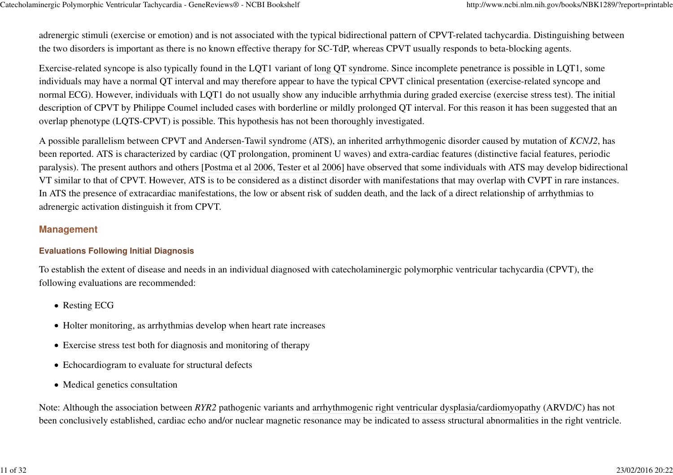adrenergic stimuli (exercise or emotion) and is not associated with the typical bidirectional pattern of CPVT-related tachycardia. Distinguishing betweenthe two disorders is important as there is no known effective therapy for SC-TdP, whereas CPVT usually responds to beta-blocking agents.

Exercise-related syncope is also typically found in the LQT1 variant of long QT syndrome. Since incomplete penetrance is possible in LQT1, some individuals may have a normal QT interval and may therefore appear to have the typical CPVT clinical presentation (exercise-related syncope and normal ECG). However, individuals with LQT1 do not usually show any inducible arrhythmia during graded exercise (exercise stress test). The initialdescription of CPVT by Philippe Coumel included cases with borderline or mildly prolonged QT interval. For this reason it has been suggested that anoverlap phenotype (LQTS-CPVT) is possible. This hypothesis has not been thoroughly investigated.

A possible parallelism between CPVT and Andersen-Tawil syndrome (ATS), an inherited arrhythmogenic disorder caused by mutation of *KCNJ2*, hasbeen reported. ATS is characterized by cardiac (QT prolongation, prominent U waves) and extra-cardiac features (distinctive facial features, periodic paralysis). The present authors and others [Postma et al 2006, Tester et al 2006] have observed that some individuals with ATS may develop bidirectionalVT similar to that of CPVT. However, ATS is to be considered as a distinct disorder with manifestations that may overlap with CVPT in rare instances.In ATS the presence of extracardiac manifestations, the low or absent risk of sudden death, and the lack of a direct relationship of arrhythmias toadrenergic activation distinguish it from CPVT.

### **Management**

#### **Evaluations Following Initial Diagnosis**

To establish the extent of disease and needs in an individual diagnosed with catecholaminergic polymorphic ventricular tachycardia (CPVT), thefollowing evaluations are recommended:

- Resting ECG
- Holter monitoring, as arrhythmias develop when heart rate increases
- Exercise stress test both for diagnosis and monitoring of therapy
- Echocardiogram to evaluate for structural defects
- Medical genetics consultation

Note: Although the association between *RYR2* pathogenic variants and arrhythmogenic right ventricular dysplasia/cardiomyopathy (ARVD/C) has notbeen conclusively established, cardiac echo and/or nuclear magnetic resonance may be indicated to assess structural abnormalities in the right ventricle.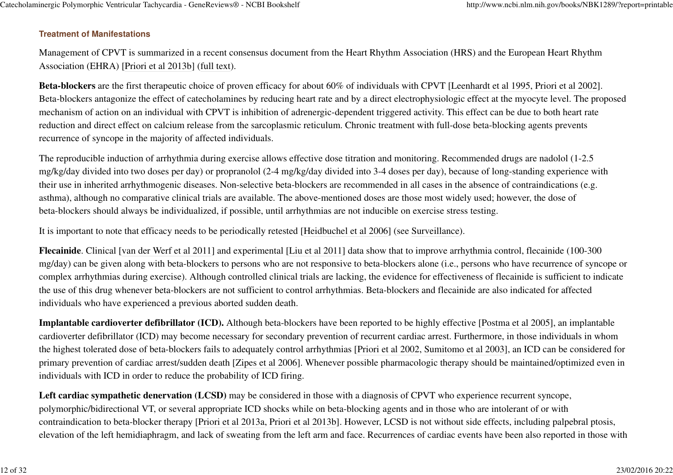#### **Treatment of Manifestations**

Management of CPVT is summarized in a recent consensus document from the Heart Rhythm Association (HRS) and the European Heart RhythmAssociation (EHRA) [Priori et al 2013b] (full text).

**Beta-blockers** are the first therapeutic choice of proven efficacy for about 60% of individuals with CPVT [Leenhardt et al 1995, Priori et al 2002].Beta-blockers antagonize the effect of catecholamines by reducing heart rate and by a direct electrophysiologic effect at the myocyte level. The proposedmechanism of action on an individual with CPVT is inhibition of adrenergic-dependent triggered activity. This effect can be due to both heart ratereduction and direct effect on calcium release from the sarcoplasmic reticulum. Chronic treatment with full-dose beta-blocking agents preventsrecurrence of syncope in the majority of affected individuals.

The reproducible induction of arrhythmia during exercise allows effective dose titration and monitoring. Recommended drugs are nadolol (1-2.5 mg/kg/day divided into two doses per day) or propranolol (2-4 mg/kg/day divided into 3-4 doses per day), because of long-standing experience withtheir use in inherited arrhythmogenic diseases. Non-selective beta-blockers are recommended in all cases in the absence of contraindications (e.g.asthma), although no comparative clinical trials are available. The above-mentioned doses are those most widely used; however, the dose ofbeta-blockers should always be individualized, if possible, until arrhythmias are not inducible on exercise stress testing.

It is important to note that efficacy needs to be periodically retested [Heidbuchel et al 2006] (see Surveillance).

**Flecainide**. Clinical [van der Werf et al 2011] and experimental [Liu et al 2011] data show that to improve arrhythmia control, flecainide (100-300 mg/day) can be given along with beta-blockers to persons who are not responsive to beta-blockers alone (i.e., persons who have recurrence of syncope orcomplex arrhythmias during exercise). Although controlled clinical trials are lacking, the evidence for effectiveness of flecainide is sufficient to indicatethe use of this drug whenever beta-blockers are not sufficient to control arrhythmias. Beta-blockers and flecainide are also indicated for affectedindividuals who have experienced a previous aborted sudden death.

**Implantable cardioverter defibrillator (ICD).** Although beta-blockers have been reported to be highly effective [Postma et al 2005], an implantable cardioverter defibrillator (ICD) may become necessary for secondary prevention of recurrent cardiac arrest. Furthermore, in those individuals in whom the highest tolerated dose of beta-blockers fails to adequately control arrhythmias [Priori et al 2002, Sumitomo et al 2003], an ICD can be considered forprimary prevention of cardiac arrest/sudden death [Zipes et al 2006]. Whenever possible pharmacologic therapy should be maintained/optimized even inindividuals with ICD in order to reduce the probability of ICD firing.

Left cardiac sympathetic denervation (LCSD) may be considered in those with a diagnosis of CPVT who experience recurrent syncope, polymorphic/bidirectional VT, or several appropriate ICD shocks while on beta-blocking agents and in those who are intolerant of or with contraindication to beta-blocker therapy [Priori et al 2013a, Priori et al 2013b]. However, LCSD is not without side effects, including palpebral ptosis,elevation of the left hemidiaphragm, and lack of sweating from the left arm and face. Recurrences of cardiac events have been also reported in those with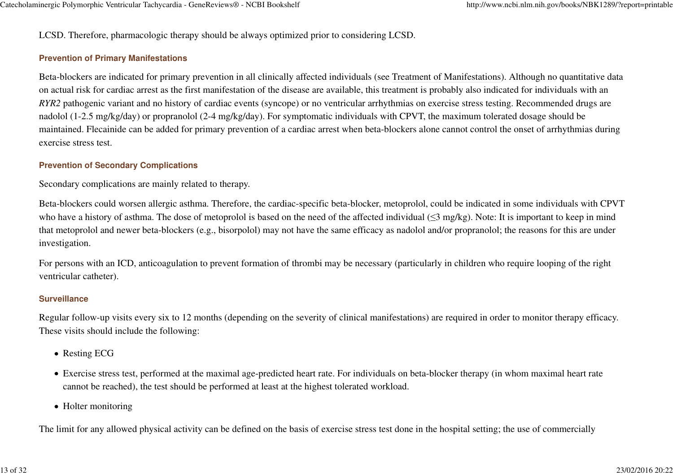LCSD. Therefore, pharmacologic therapy should be always optimized prior to considering LCSD.

#### **Prevention of Primary Manifestations**

Beta-blockers are indicated for primary prevention in all clinically affected individuals (see Treatment of Manifestations). Although no quantitative dataon actual risk for cardiac arrest as the first manifestation of the disease are available, this treatment is probably also indicated for individuals with an *RYR2* pathogenic variant and no history of cardiac events (syncope) or no ventricular arrhythmias on exercise stress testing. Recommended drugs arenadolol (1-2.5 mg/kg/day) or propranolol (2-4 mg/kg/day). For symptomatic individuals with CPVT, the maximum tolerated dosage should bemaintained. Flecainide can be added for primary prevention of a cardiac arrest when beta-blockers alone cannot control the onset of arrhythmias duringexercise stress test.

#### **Prevention of Secondary Complications**

Secondary complications are mainly related to therapy.

Beta-blockers could worsen allergic asthma. Therefore, the cardiac-specific beta-blocker, metoprolol, could be indicated in some individuals with CPVTwho have a history of asthma. The dose of metoprolol is based on the need of the affected individual (≤3 mg/kg). Note: It is important to keep in mind that metoprolol and newer beta-blockers (e.g., bisorpolol) may not have the same efficacy as nadolol and/or propranolol; the reasons for this are underinvestigation.

For persons with an ICD, anticoagulation to prevent formation of thrombi may be necessary (particularly in children who require looping of the rightventricular catheter).

#### **Surveillance**

Regular follow-up visits every six to 12 months (depending on the severity of clinical manifestations) are required in order to monitor therapy efficacy.These visits should include the following:

- Resting ECG
- Exercise stress test, performed at the maximal age-predicted heart rate. For individuals on beta-blocker therapy (in whom maximal heart ratecannot be reached), the test should be performed at least at the highest tolerated workload.
- Holter monitoring

The limit for any allowed physical activity can be defined on the basis of exercise stress test done in the hospital setting; the use of commercially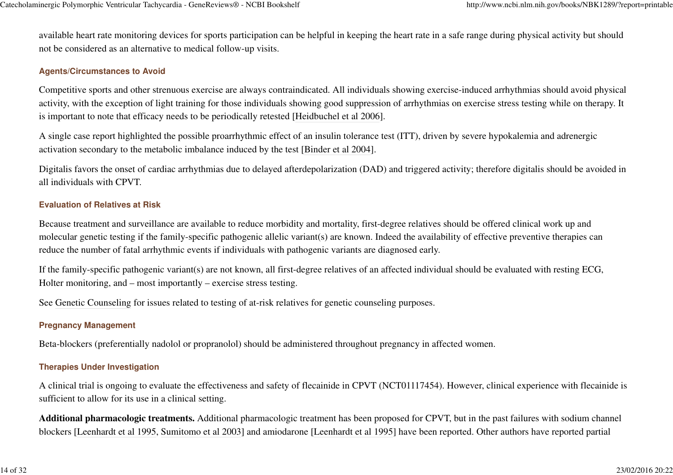available heart rate monitoring devices for sports participation can be helpful in keeping the heart rate in a safe range during physical activity but shouldnot be considered as an alternative to medical follow-up visits.

#### **Agents/Circumstances to Avoid**

Competitive sports and other strenuous exercise are always contraindicated. All individuals showing exercise-induced arrhythmias should avoid physicalactivity, with the exception of light training for those individuals showing good suppression of arrhythmias on exercise stress testing while on therapy. Itis important to note that efficacy needs to be periodically retested [Heidbuchel et al 2006].

A single case report highlighted the possible proarrhythmic effect of an insulin tolerance test (ITT), driven by severe hypokalemia and adrenergicactivation secondary to the metabolic imbalance induced by the test [Binder et al 2004].

Digitalis favors the onset of cardiac arrhythmias due to delayed afterdepolarization (DAD) and triggered activity; therefore digitalis should be avoided inall individuals with CPVT.

#### **Evaluation of Relatives at Risk**

Because treatment and surveillance are available to reduce morbidity and mortality, first-degree relatives should be offered clinical work up and molecular genetic testing if the family-specific pathogenic allelic variant(s) are known. Indeed the availability of effective preventive therapies canreduce the number of fatal arrhythmic events if individuals with pathogenic variants are diagnosed early.

If the family-specific pathogenic variant(s) are not known, all first-degree relatives of an affected individual should be evaluated with resting ECG,Holter monitoring, and – most importantly – exercise stress testing.

See Genetic Counseling for issues related to testing of at-risk relatives for genetic counseling purposes.

#### **Pregnancy Management**

Beta-blockers (preferentially nadolol or propranolol) should be administered throughout pregnancy in affected women.

#### **Therapies Under Investigation**

A clinical trial is ongoing to evaluate the effectiveness and safety of flecainide in CPVT (NCT01117454). However, clinical experience with flecainide issufficient to allow for its use in a clinical setting.

**Additional pharmacologic treatments.** Additional pharmacologic treatment has been proposed for CPVT, but in the past failures with sodium channelblockers [Leenhardt et al 1995, Sumitomo et al 2003] and amiodarone [Leenhardt et al 1995] have been reported. Other authors have reported partial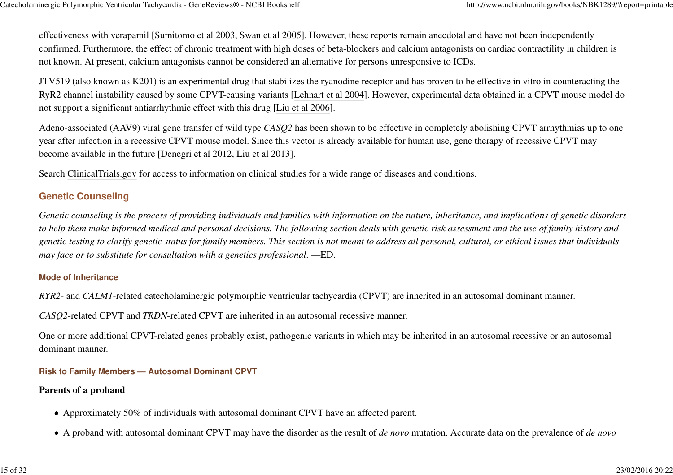effectiveness with verapamil [Sumitomo et al 2003, Swan et al 2005]. However, these reports remain anecdotal and have not been independently confirmed. Furthermore, the effect of chronic treatment with high doses of beta-blockers and calcium antagonists on cardiac contractility in children isnot known. At present, calcium antagonists cannot be considered an alternative for persons unresponsive to ICDs.

JTV519 (also known as K201) is an experimental drug that stabilizes the ryanodine receptor and has proven to be effective in vitro in counteracting the RyR2 channel instability caused by some CPVT-causing variants [Lehnart et al 2004]. However, experimental data obtained in a CPVT mouse model donot support a significant antiarrhythmic effect with this drug [Liu et al 2006].

Adeno-associated (AAV9) viral gene transfer of wild type *CASQ2* has been shown to be effective in completely abolishing CPVT arrhythmias up to oneyear after infection in a recessive CPVT mouse model. Since this vector is already available for human use, gene therapy of recessive CPVT maybecome available in the future [Denegri et al 2012, Liu et al 2013].

Search ClinicalTrials.gov for access to information on clinical studies for a wide range of diseases and conditions.

## **Genetic Counseling**

*Genetic counseling is the process of providing individuals and families with information on the nature, inheritance, and implications of genetic disordersto help them make informed medical and personal decisions. The following section deals with genetic risk assessment and the use of family history and genetic testing to clarify genetic status for family members. This section is not meant to address all personal, cultural, or ethical issues that individualsmay face or to substitute for consultation with a genetics professional*. —ED.

#### **Mode of Inheritance**

*RYR2*- and *CALM1*-related catecholaminergic polymorphic ventricular tachycardia (CPVT) are inherited in an autosomal dominant manner.

*CASQ2*-related CPVT and *TRDN*-related CPVT are inherited in an autosomal recessive manner.

One or more additional CPVT-related genes probably exist, pathogenic variants in which may be inherited in an autosomal recessive or an autosomaldominant manner.

#### **Risk to Family Members — Autosomal Dominant CPVT**

#### **Parents of a proband**

- Approximately 50% of individuals with autosomal dominant CPVT have an affected parent.
- A proband with autosomal dominant CPVT may have the disorder as the result of *de novo* mutation. Accurate data on the prevalence of *de novo*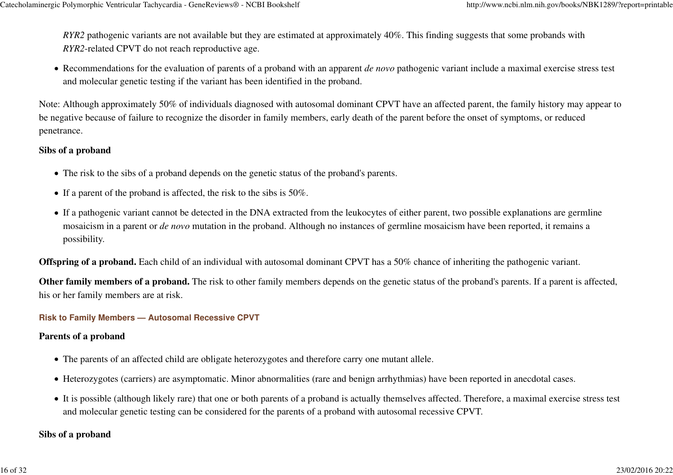*RYR2* pathogenic variants are not available but they are estimated at approximately 40%. This finding suggests that some probands with *RYR2*-related CPVT do not reach reproductive age.

Recommendations for the evaluation of parents of a proband with an apparent *de novo* pathogenic variant include a maximal exercise stress testand molecular genetic testing if the variant has been identified in the proband.

Note: Although approximately 50% of individuals diagnosed with autosomal dominant CPVT have an affected parent, the family history may appear tobe negative because of failure to recognize the disorder in family members, early death of the parent before the onset of symptoms, or reducedpenetrance.

### **Sibs of a proband**

- The risk to the sibs of a proband depends on the genetic status of the proband's parents.
- If a parent of the proband is affected, the risk to the sibs is 50%.
- If a pathogenic variant cannot be detected in the DNA extracted from the leukocytes of either parent, two possible explanations are germline mosaicism in a parent or *de novo* mutation in the proband. Although no instances of germline mosaicism have been reported, it remains apossibility.

**Offspring of a proband.** Each child of an individual with autosomal dominant CPVT has a 50% chance of inheriting the pathogenic variant.

**Other family members of a proband.** The risk to other family members depends on the genetic status of the proband's parents. If a parent is affected,his or her family members are at risk.

#### **Risk to Family Members — Autosomal Recessive CPVT**

### **Parents of a proband**

- The parents of an affected child are obligate heterozygotes and therefore carry one mutant allele.
- Heterozygotes (carriers) are asymptomatic. Minor abnormalities (rare and benign arrhythmias) have been reported in anecdotal cases.
- It is possible (although likely rare) that one or both parents of a proband is actually themselves affected. Therefore, a maximal exercise stress testand molecular genetic testing can be considered for the parents of a proband with autosomal recessive CPVT.

### **Sibs of a proband**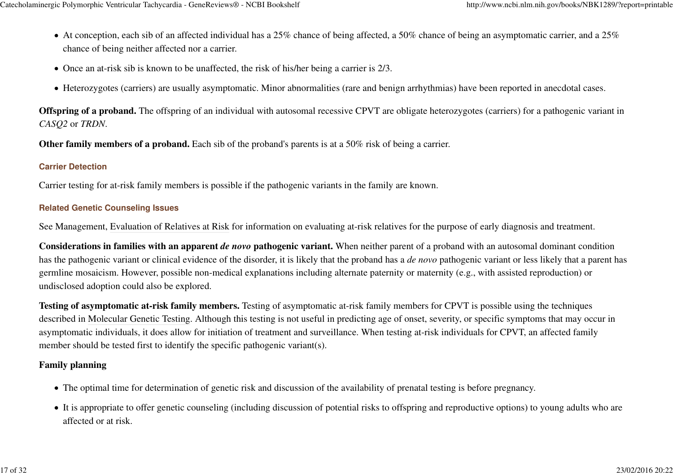- At conception, each sib of an affected individual has a 25% chance of being affected, a 50% chance of being an asymptomatic carrier, and a 25% chance of being neither affected nor a carrier.
- Once an at-risk sib is known to be unaffected, the risk of his/her being a carrier is 2/3.
- Heterozygotes (carriers) are usually asymptomatic. Minor abnormalities (rare and benign arrhythmias) have been reported in anecdotal cases.

**Offspring of a proband.** The offspring of an individual with autosomal recessive CPVT are obligate heterozygotes (carriers) for a pathogenic variant in *CASQ2* or *TRDN*.

**Other family members of a proband.** Each sib of the proband's parents is at a 50% risk of being a carrier.

### **Carrier Detection**

Carrier testing for at-risk family members is possible if the pathogenic variants in the family are known.

### **Related Genetic Counseling Issues**

See Management, Evaluation of Relatives at Risk for information on evaluating at-risk relatives for the purpose of early diagnosis and treatment.

**Considerations in families with an apparent** *de novo* **pathogenic variant.** When neither parent of a proband with an autosomal dominant condition has the pathogenic variant or clinical evidence of the disorder, it is likely that the proband has a *de novo* pathogenic variant or less likely that a parent hasgermline mosaicism. However, possible non-medical explanations including alternate paternity or maternity (e.g., with assisted reproduction) orundisclosed adoption could also be explored.

**Testing of asymptomatic at-risk family members.** Testing of asymptomatic at-risk family members for CPVT is possible using the techniques described in Molecular Genetic Testing. Although this testing is not useful in predicting age of onset, severity, or specific symptoms that may occur inasymptomatic individuals, it does allow for initiation of treatment and surveillance. When testing at-risk individuals for CPVT, an affected familymember should be tested first to identify the specific pathogenic variant(s).

## **Family planning**

- The optimal time for determination of genetic risk and discussion of the availability of prenatal testing is before pregnancy.
- It is appropriate to offer genetic counseling (including discussion of potential risks to offspring and reproductive options) to young adults who are affected or at risk.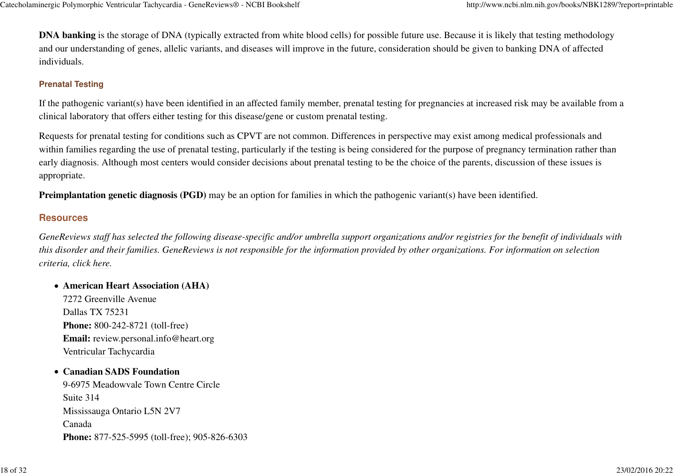**DNA banking** is the storage of DNA (typically extracted from white blood cells) for possible future use. Because it is likely that testing methodology and our understanding of genes, allelic variants, and diseases will improve in the future, consideration should be given to banking DNA of affectedindividuals.

#### **Prenatal Testing**

If the pathogenic variant(s) have been identified in an affected family member, prenatal testing for pregnancies at increased risk may be available from aclinical laboratory that offers either testing for this disease/gene or custom prenatal testing.

Requests for prenatal testing for conditions such as CPVT are not common. Differences in perspective may exist among medical professionals and within families regarding the use of prenatal testing, particularly if the testing is being considered for the purpose of pregnancy termination rather thanearly diagnosis. Although most centers would consider decisions about prenatal testing to be the choice of the parents, discussion of these issues isappropriate.

**Preimplantation genetic diagnosis (PGD)** may be an option for families in which the pathogenic variant(s) have been identified.

## **Resources**

*GeneReviews staff has selected the following disease-specific and/or umbrella support organizations and/or registries for the benefit of individuals withthis disorder and their families. GeneReviews is not responsible for the information provided by other organizations. For information on selectioncriteria, click here.*

#### **American Heart Association (AHA)**

7272 Greenville AvenueDallas TX 75231 **Phone:** 800-242-8721 (toll-free)**Email:** review.personal.info@heart.orgVentricular Tachycardia

#### **Canadian SADS Foundation**

 9-6975 Meadowvale Town Centre CircleSuite 314 Mississauga Ontario L5N 2V7Canada**Phone:** 877-525-5995 (toll-free); 905-826-6303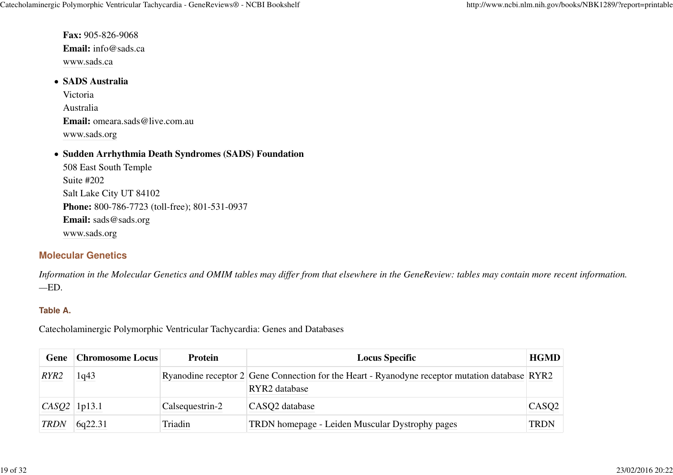**Fax:** 905-826-9068 **Email:** info@sads.cawww.sads.ca

#### **SADS Australia**

VictoriaAustralia **Email:** omeara.sads@live.com.auwww.sads.org

#### **Sudden Arrhythmia Death Syndromes (SADS) Foundation**

508 East South TempleSuite #202 Salt Lake City UT 84102 **Phone:** 800-786-7723 (toll-free); 801-531-0937**Email:** sads@sads.orgwww.sads.org

## **Molecular Genetics**

*Information in the Molecular Genetics and OMIM tables may differ from that elsewhere in the GeneReview: tables may contain more recent information.—*ED.

#### **Table A.**

Catecholaminergic Polymorphic Ventricular Tachycardia: Genes and Databases

|                  | <b>Gene</b> Chromosome Locus | <b>Protein</b>  | <b>Locus Specific</b>                                                                          | <b>HGMD</b> |
|------------------|------------------------------|-----------------|------------------------------------------------------------------------------------------------|-------------|
| RYR <sub>2</sub> | 1q43                         |                 | Ryanodine receptor 2 Gene Connection for the Heart - Ryanodyne receptor mutation database RYR2 |             |
|                  |                              |                 | RYR2 database                                                                                  |             |
| $CASQ2$   1p13.1 |                              | Calsequestrin-2 | CASO <sub>2</sub> database                                                                     | CASQ2       |
| <b>TRDN</b>      | 6q22.31                      | Triadin         | TRDN homepage - Leiden Muscular Dystrophy pages                                                | <b>TRDN</b> |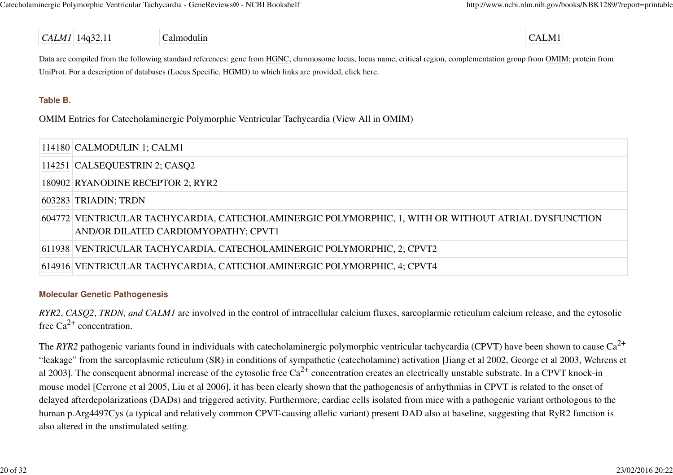#### *CALM1* $1\overline{14q32.11}$  Calmodulin Calmodulin CALM1

Data are compiled from the following standard references: gene from HGNC; chromosome locus, locus name, critical region, complementation group from OMIM; protein from UniProt. For a description of databases (Locus Specific, HGMD) to which links are provided, click here.

#### **Table B.**

OMIM Entries for Catecholaminergic Polymorphic Ventricular Tachycardia (View All in OMIM)

| $114180$ CALMODULIN 1; CALM1                                                                                                                 |
|----------------------------------------------------------------------------------------------------------------------------------------------|
| $114251$ CALSEQUESTRIN 2; CASQ2                                                                                                              |
| 180902 RYANODINE RECEPTOR 2; RYR2                                                                                                            |
| 603283 TRIADIN; TRDN                                                                                                                         |
| 604772 VENTRICULAR TACHYCARDIA, CATECHOLAMINERGIC POLYMORPHIC, 1, WITH OR WITHOUT ATRIAL DYSFUNCTION<br>AND/OR DILATED CARDIOMYOPATHY; CPVT1 |
| 611938 VENTRICULAR TACHYCARDIA, CATECHOLAMINERGIC POLYMORPHIC, 2; CPVT2                                                                      |
| 614916 VENTRICULAR TACHYCARDIA, CATECHOLAMINERGIC POLYMORPHIC, 4; CPVT4                                                                      |
|                                                                                                                                              |

#### **Molecular Genetic Pathogenesis**

*RYR2*, *CASQ2*, *TRDN, and CALM1* are involved in the control of intracellular calcium fluxes, sarcoplarmic reticulum calcium release, and the cytosolicfree  $Ca^{2+}$  concentration.

The *RYR2* pathogenic variants found in individuals with catecholaminergic polymorphic ventricular tachycardia (CPVT) have been shown to cause Ca<sup>2+</sup> "leakage" from the sarcoplasmic reticulum (SR) in conditions of sympathetic (catecholamine) activation [Jiang et al 2002, George et al 2003, Wehrens etal 2003]. The consequent abnormal increase of the cytosolic free  $Ca^{2+}$  concentration creates an electrically unstable substrate. In a CPVT knock-in mouse model [Cerrone et al 2005, Liu et al 2006], it has been clearly shown that the pathogenesis of arrhythmias in CPVT is related to the onset ofdelayed afterdepolarizations (DADs) and triggered activity. Furthermore, cardiac cells isolated from mice with a pathogenic variant orthologous to the human p.Arg4497Cys (a typical and relatively common CPVT-causing allelic variant) present DAD also at baseline, suggesting that RyR2 function isalso altered in the unstimulated setting.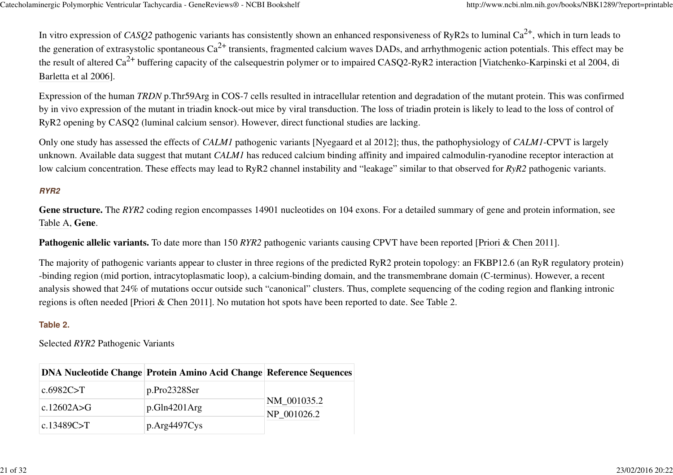In vitro expression of *CASQ2* pathogenic variants has consistently shown an enhanced responsiveness of RyR2s to luminal Ca<sup>2+</sup>, which in turn leads to the generation of extrasystolic spontaneous Ca<sup>2+</sup> transients, fragmented calcium waves DADs, and arrhythmogenic action potentials. This effect may be the result of altered Ca<sup>2+</sup> buffering capacity of the calsequestrin polymer or to impaired CASQ2-RyR2 interaction [Viatchenko-Karpinski et al 2004, di Barletta et al 2006].

Expression of the human *TRDN* p.Thr59Arg in COS-7 cells resulted in intracellular retention and degradation of the mutant protein. This was confirmed by in vivo expression of the mutant in triadin knock-out mice by viral transduction. The loss of triadin protein is likely to lead to the loss of control ofRyR2 opening by CASQ2 (luminal calcium sensor). However, direct functional studies are lacking.

Only one study has assessed the effects of *CALM1* pathogenic variants [Nyegaard et al 2012]; thus, the pathophysiology of *CALM1*-CPVT is largely unknown. Available data suggest that mutant *CALM1* has reduced calcium binding affinity and impaired calmodulin-ryanodine receptor interaction atlow calcium concentration. These effects may lead to RyR2 channel instability and "leakage" similar to that observed for *RyR2* pathogenic variants.

#### **RYR2**

**Gene structure.** The *RYR2* coding region encompasses 14901 nucleotides on 104 exons. For a detailed summary of gene and protein information, seeTable A, **Gene**.

**Pathogenic allelic variants.** To date more than 150 *RYR2* pathogenic variants causing CPVT have been reported [Priori & Chen 2011].

The majority of pathogenic variants appear to cluster in three regions of the predicted RyR2 protein topology: an FKBP12.6 (an RyR regulatory protein)-binding region (mid portion, intracytoplasmatic loop), a calcium-binding domain, and the transmembrane domain (C-terminus). However, a recentanalysis showed that 24% of mutations occur outside such "canonical" clusters. Thus, complete sequencing of the coding region and flanking intronicregions is often needed [Priori & Chen 2011]. No mutation hot spots have been reported to date. See Table 2.

#### **Table 2.**

Selected *RYR2* Pathogenic Variants

|                 | <b>DNA Nucleotide Change Protein Amino Acid Change Reference Sequences</b> |                            |
|-----------------|----------------------------------------------------------------------------|----------------------------|
| c.6982C $\gt$ T | p.Pro2328Ser                                                               |                            |
| c.12602A>G      | p.Gln4201Arg                                                               | NM_001035.2<br>NP 001026.2 |
| c.13489C>T      | $p \, Arg4497Cys$                                                          |                            |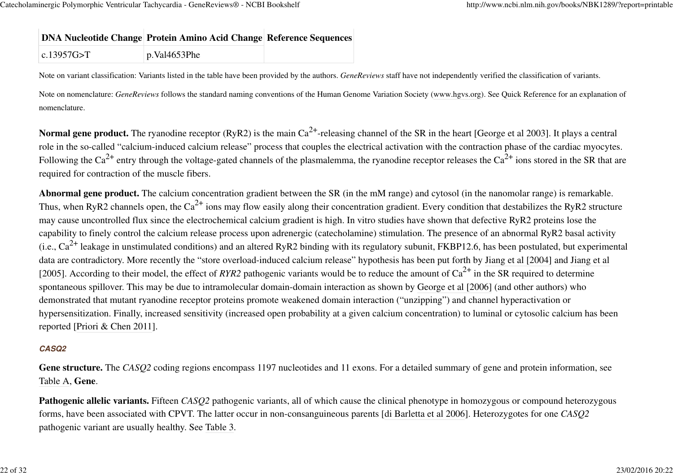## **DNA Nucleotide Change Protein Amino Acid Change Reference Sequences**

|--|

Note on variant classification: Variants listed in the table have been provided by the authors. *GeneReviews* staff have not independently verified the classification of variants.

Note on nomenclature: *GeneReviews* follows the standard naming conventions of the Human Genome Variation Society (www.hgvs.org). See Quick Reference for an explanation ofnomenclature.

**Normal gene product.** The ryanodine receptor (RyR2) is the main  $Ca^{2+}$ -releasing channel of the SR in the heart [George et al 2003]. It plays a central role in the so-called "calcium-induced calcium release" process that couples the electrical activation with the contraction phase of the cardiac myocytes.Following the Ca<sup>2+</sup> entry through the voltage-gated channels of the plasmalemma, the ryanodine receptor releases the Ca<sup>2+</sup> ions stored in the SR that are required for contraction of the muscle fibers.

**Abnormal gene product.** The calcium concentration gradient between the SR (in the mM range) and cytosol (in the nanomolar range) is remarkable.Thus, when RyR2 channels open, the Ca<sup>2+</sup> ions may flow easily along their concentration gradient. Every condition that destabilizes the RyR2 structure may cause uncontrolled flux since the electrochemical calcium gradient is high. In vitro studies have shown that defective RyR2 proteins lose the capability to finely control the calcium release process upon adrenergic (catecholamine) stimulation. The presence of an abnormal RyR2 basal activity(i.e.,  $Ca^{2+}$  leakage in unstimulated conditions) and an altered RyR2 binding with its regulatory subunit, FKBP12.6, has been postulated, but experimental data are contradictory. More recently the "store overload-induced calcium release" hypothesis has been put forth by Jiang et al [2004] and Jiang et al[2005]. According to their model, the effect of *RYR2* pathogenic variants would be to reduce the amount of  $Ca^{2+}$  in the SR required to determine spontaneous spillover. This may be due to intramolecular domain-domain interaction as shown by George et al [2006] (and other authors) whodemonstrated that mutant ryanodine receptor proteins promote weakened domain interaction ("unzipping") and channel hyperactivation orhypersensitization. Finally, increased sensitivity (increased open probability at a given calcium concentration) to luminal or cytosolic calcium has beenreported [Priori & Chen 2011].

#### **CASQ2**

**Gene structure.** The *CASQ2* coding regions encompass 1197 nucleotides and 11 exons. For a detailed summary of gene and protein information, seeTable A, **Gene**.

**Pathogenic allelic variants.** Fifteen *CASO2* pathogenic variants, all of which cause the clinical phenotype in homozygous or compound heterozygous forms, have been associated with CPVT. The latter occur in non-consanguineous parents [di Barletta et al 2006]. Heterozygotes for one *CASQ2*pathogenic variant are usually healthy. See Table 3.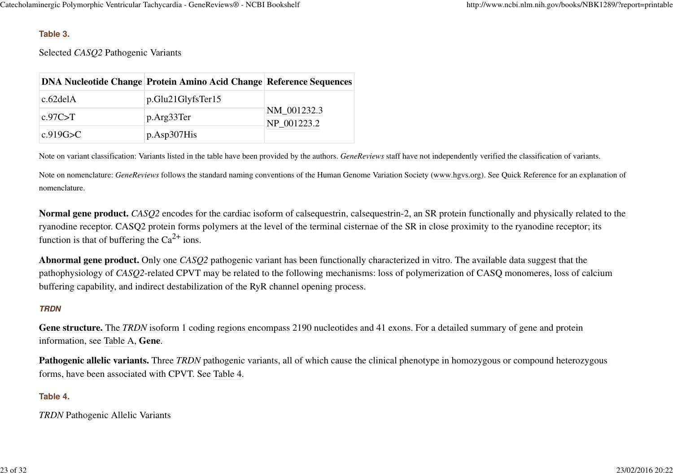#### **Table 3.**

Selected *CASQ2* Pathogenic Variants

|           | <b>DNA Nucleotide Change Protein Amino Acid Change Reference Sequences</b> |                            |  |
|-----------|----------------------------------------------------------------------------|----------------------------|--|
| c.62delA  | p.Glu21GlyfsTer15                                                          | NM_001232.3<br>NP 001223.2 |  |
| c.97C > T | p.Arg33Ter                                                                 |                            |  |
| c.919G>C  | p.Asp307His                                                                |                            |  |

Note on variant classification: Variants listed in the table have been provided by the authors. *GeneReviews* staff have not independently verified the classification of variants.

Note on nomenclature: *GeneReviews* follows the standard naming conventions of the Human Genome Variation Society (www.hgvs.org). See Quick Reference for an explanation ofnomenclature.

**Normal gene product.** *CASQ2* encodes for the cardiac isoform of calsequestrin, calsequestrin-2, an SR protein functionally and physically related to theryanodine receptor. CASQ2 protein forms polymers at the level of the terminal cisternae of the SR in close proximity to the ryanodine receptor; itsfunction is that of buffering the  $Ca^{2+}$  ions.

**Abnormal gene product.** Only one *CASQ2* pathogenic variant has been functionally characterized in vitro. The available data suggest that the pathophysiology of *CASQ2*-related CPVT may be related to the following mechanisms: loss of polymerization of CASQ monomeres, loss of calciumbuffering capability, and indirect destabilization of the RyR channel opening process.

#### **TRDN**

Gene structure. The *TRDN* isoform 1 coding regions encompass 2190 nucleotides and 41 exons. For a detailed summary of gene and protein information, see Table A, **Gene**.

**Pathogenic allelic variants.** Three *TRDN* pathogenic variants, all of which cause the clinical phenotype in homozygous or compound heterozygous forms, have been associated with CPVT. See Table 4.

#### **Table 4.**

*TRDN* Pathogenic Allelic Variants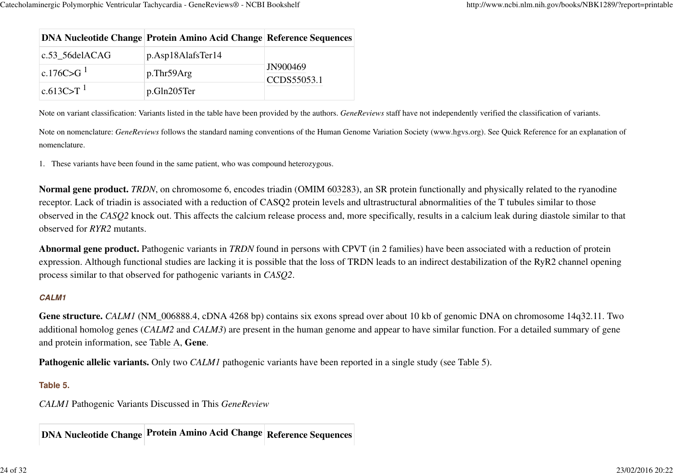|                       | <b>DNA Nucleotide Change Protein Amino Acid Change Reference Sequences</b> |                         |
|-----------------------|----------------------------------------------------------------------------|-------------------------|
| $c.53\_56$ delACAG    | p.Asp18AlafsTer14                                                          | JN900469<br>CCDS55053.1 |
| c.176C>G <sup>1</sup> | $p$ .Thr59Arg                                                              |                         |
| $ c.613C>T ^{1}$      | p.Gln205Ter                                                                |                         |

Note on variant classification: Variants listed in the table have been provided by the authors. *GeneReviews* staff have not independently verified the classification of variants.

Note on nomenclature: *GeneReviews* follows the standard naming conventions of the Human Genome Variation Society (www.hgvs.org). See Quick Reference for an explanation of nomenclature.

1.These variants have been found in the same patient, who was compound heterozygous.

**Normal gene product.** *TRDN*, on chromosome 6, encodes triadin (OMIM 603283), an SR protein functionally and physically related to the ryanodinereceptor. Lack of triadin is associated with a reduction of CASQ2 protein levels and ultrastructural abnormalities of the T tubules similar to those observed in the *CASQ2* knock out. This affects the calcium release process and, more specifically, results in a calcium leak during diastole similar to thatobserved for *RYR2* mutants.

**Abnormal gene product.** Pathogenic variants in *TRDN* found in persons with CPVT (in 2 families) have been associated with a reduction of protein expression. Although functional studies are lacking it is possible that the loss of TRDN leads to an indirect destabilization of the RyR2 channel openingprocess similar to that observed for pathogenic variants in *CASQ2*.

#### **CALM1**

**Gene structure.** *CALM1* (NM\_006888.4, cDNA 4268 bp) contains six exons spread over about 10 kb of genomic DNA on chromosome 14q32.11. Two additional homolog genes (*CALM2* and *CALM3*) are present in the human genome and appear to have similar function. For a detailed summary of geneand protein information, see Table A, **Gene**.

**Pathogenic allelic variants.** Only two *CALM1* pathogenic variants have been reported in a single study (see Table 5).

### **Table 5.**

*CALM1* Pathogenic Variants Discussed in This *GeneReview*

**DNA Nucleotide Change Protein Amino Acid Change Reference Sequences**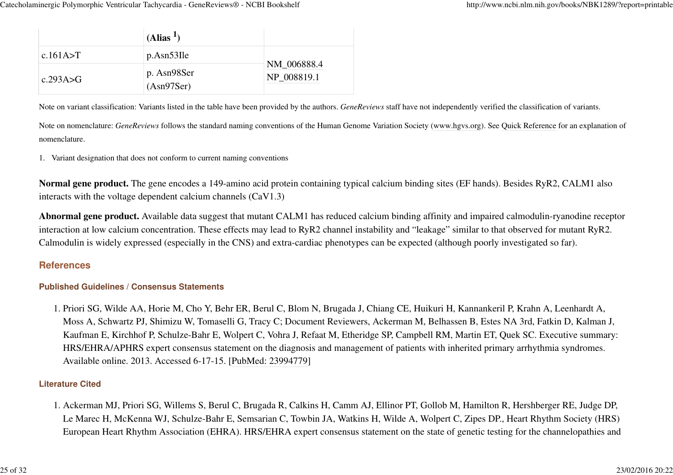|                                          | (Alias <sup>1</sup> )     |                            |
|------------------------------------------|---------------------------|----------------------------|
| c.161A $\gt$ T                           | $p.Asn53$ Ile             |                            |
| $\mathsf{c.293A} \rightarrow \mathsf{G}$ | p. Asn98Ser<br>(Asn97Ser) | NM_006888.4<br>NP 008819.1 |

Note on variant classification: Variants listed in the table have been provided by the authors. *GeneReviews* staff have not independently verified the classification of variants.

Note on nomenclature: *GeneReviews* follows the standard naming conventions of the Human Genome Variation Society (www.hgvs.org). See Quick Reference for an explanation ofnomenclature.

1. Variant designation that does not conform to current naming conventions

**Normal gene product.** The gene encodes a 149-amino acid protein containing typical calcium binding sites (EF hands). Besides RyR2, CALM1 alsointeracts with the voltage dependent calcium channels (CaV1.3)

**Abnormal gene product.** Available data suggest that mutant CALM1 has reduced calcium binding affinity and impaired calmodulin-ryanodine receptorinteraction at low calcium concentration. These effects may lead to RyR2 channel instability and "leakage" similar to that observed for mutant RyR2.Calmodulin is widely expressed (especially in the CNS) and extra-cardiac phenotypes can be expected (although poorly investigated so far).

### **References**

#### **Published Guidelines / Consensus Statements**

1. Priori SG, Wilde AA, Horie M, Cho Y, Behr ER, Berul C, Blom N, Brugada J, Chiang CE, Huikuri H, Kannankeril P, Krahn A, Leenhardt A, Moss A, Schwartz PJ, Shimizu W, Tomaselli G, Tracy C; Document Reviewers, Ackerman M, Belhassen B, Estes NA 3rd, Fatkin D, Kalman J,Kaufman E, Kirchhof P, Schulze-Bahr E, Wolpert C, Vohra J, Refaat M, Etheridge SP, Campbell RM, Martin ET, Quek SC. Executive summary:HRS/EHRA/APHRS expert consensus statement on the diagnosis and management of patients with inherited primary arrhythmia syndromes.Available online. 2013. Accessed 6-17-15. [PubMed: 23994779]

#### **Literature Cited**

1. Ackerman MJ, Priori SG, Willems S, Berul C, Brugada R, Calkins H, Camm AJ, Ellinor PT, Gollob M, Hamilton R, Hershberger RE, Judge DP, Le Marec H, McKenna WJ, Schulze-Bahr E, Semsarian C, Towbin JA, Watkins H, Wilde A, Wolpert C, Zipes DP., Heart Rhythm Society (HRS)European Heart Rhythm Association (EHRA). HRS/EHRA expert consensus statement on the state of genetic testing for the channelopathies and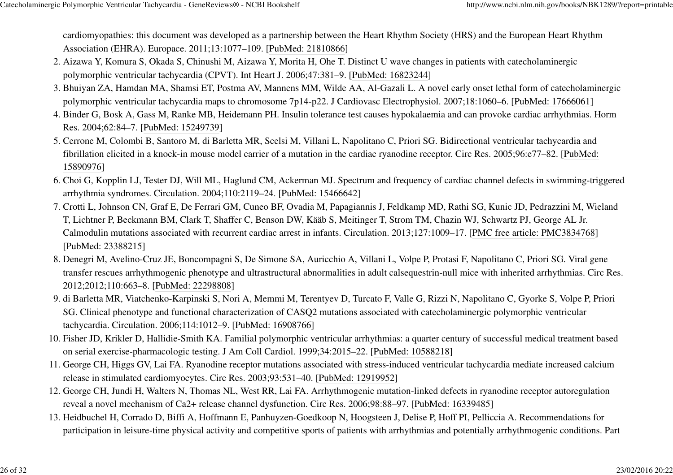cardiomyopathies: this document was developed as a partnership between the Heart Rhythm Society (HRS) and the European Heart RhythmAssociation (EHRA). Europace. 2011;13:1077–109. [PubMed: 21810866]

- 2. Aizawa Y, Komura S, Okada S, Chinushi M, Aizawa Y, Morita H, Ohe T. Distinct U wave changes in patients with catecholaminergic polymorphic ventricular tachycardia (CPVT). Int Heart J. 2006;47:381–9. [PubMed: 16823244]
- 3. Bhuiyan ZA, Hamdan MA, Shamsi ET, Postma AV, Mannens MM, Wilde AA, Al-Gazali L. A novel early onset lethal form of catecholaminergic polymorphic ventricular tachycardia maps to chromosome 7p14-p22. J Cardiovasc Electrophysiol. 2007;18:1060–6. [PubMed: 17666061]
- 4. Binder G, Bosk A, Gass M, Ranke MB, Heidemann PH. Insulin tolerance test causes hypokalaemia and can provoke cardiac arrhythmias. Horm Res. 2004;62:84–7. [PubMed: 15249739]
- 5. Cerrone M, Colombi B, Santoro M, di Barletta MR, Scelsi M, Villani L, Napolitano C, Priori SG. Bidirectional ventricular tachycardia and fibrillation elicited in a knock-in mouse model carrier of a mutation in the cardiac ryanodine receptor. Circ Res. 2005;96:e77–82. [PubMed:15890976]
- 6. Choi G, Kopplin LJ, Tester DJ, Will ML, Haglund CM, Ackerman MJ. Spectrum and frequency of cardiac channel defects in swimming-triggered arrhythmia syndromes. Circulation. 2004;110:2119–24. [PubMed: 15466642]
- 7. Crotti L, Johnson CN, Graf E, De Ferrari GM, Cuneo BF, Ovadia M, Papagiannis J, Feldkamp MD, Rathi SG, Kunic JD, Pedrazzini M, Wieland T, Lichtner P, Beckmann BM, Clark T, Shaffer C, Benson DW, Kääb S, Meitinger T, Strom TM, Chazin WJ, Schwartz PJ, George AL Jr.Calmodulin mutations associated with recurrent cardiac arrest in infants. Circulation. 2013;127:1009–17. [PMC free article: PMC3834768][PubMed: 23388215]
- 8. Denegri M, Avelino-Cruz JE, Boncompagni S, De Simone SA, Auricchio A, Villani L, Volpe P, Protasi F, Napolitano C, Priori SG. Viral gene transfer rescues arrhythmogenic phenotype and ultrastructural abnormalities in adult calsequestrin-null mice with inherited arrhythmias. Circ Res.2012;2012;110:663–8. [PubMed: 22298808]
- 9. di Barletta MR, Viatchenko-Karpinski S, Nori A, Memmi M, Terentyev D, Turcato F, Valle G, Rizzi N, Napolitano C, Gyorke S, Volpe P, Priori SG. Clinical phenotype and functional characterization of CASQ2 mutations associated with catecholaminergic polymorphic ventriculartachycardia. Circulation. 2006;114:1012–9. [PubMed: 16908766]
- 10. Fisher JD, Krikler D, Hallidie-Smith KA. Familial polymorphic ventricular arrhythmias: a quarter century of successful medical treatment based on serial exercise-pharmacologic testing. J Am Coll Cardiol. 1999;34:2015–22. [PubMed: 10588218]
- 11. George CH, Higgs GV, Lai FA. Ryanodine receptor mutations associated with stress-induced ventricular tachycardia mediate increased calcium release in stimulated cardiomyocytes. Circ Res. 2003;93:531–40. [PubMed: 12919952]
- 12. George CH, Jundi H, Walters N, Thomas NL, West RR, Lai FA. Arrhythmogenic mutation-linked defects in ryanodine receptor autoregulation reveal a novel mechanism of Ca2+ release channel dysfunction. Circ Res. 2006;98:88–97. [PubMed: 16339485]
- 13. Heidbuchel H, Corrado D, Biffi A, Hoffmann E, Panhuyzen-Goedkoop N, Hoogsteen J, Delise P, Hoff PI, Pelliccia A. Recommendations for participation in leisure-time physical activity and competitive sports of patients with arrhythmias and potentially arrhythmogenic conditions. Part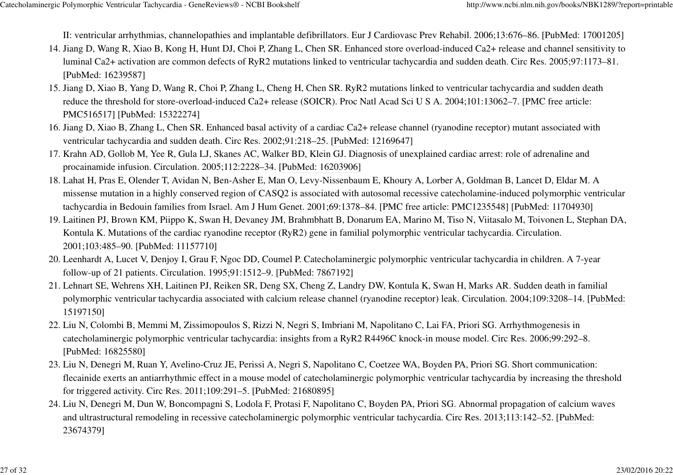II: ventricular arrhythmias, channelopathies and implantable defibrillators. Eur J Cardiovasc Prev Rehabil. 2006;13:676–86. [PubMed: 17001205]

- 14. Jiang D, Wang R, Xiao B, Kong H, Hunt DJ, Choi P, Zhang L, Chen SR. Enhanced store overload-induced Ca2+ release and channel sensitivity to luminal Ca2+ activation are common defects of RyR2 mutations linked to ventricular tachycardia and sudden death. Circ Res. 2005;97:1173–81.[PubMed: 16239587]
- 15. Jiang D, Xiao B, Yang D, Wang R, Choi P, Zhang L, Cheng H, Chen SR. RyR2 mutations linked to ventricular tachycardia and sudden death reduce the threshold for store-overload-induced Ca2+ release (SOICR). Proc Natl Acad Sci U S A. 2004;101:13062–7. [PMC free article:PMC516517] [PubMed: 15322274]
- 16. Jiang D, Xiao B, Zhang L, Chen SR. Enhanced basal activity of a cardiac Ca2+ release channel (ryanodine receptor) mutant associated with ventricular tachycardia and sudden death. Circ Res. 2002;91:218–25. [PubMed: 12169647]
- 17. Krahn AD, Gollob M, Yee R, Gula LJ, Skanes AC, Walker BD, Klein GJ. Diagnosis of unexplained cardiac arrest: role of adrenaline and procainamide infusion. Circulation. 2005;112:2228–34. [PubMed: 16203906]
- 18. Lahat H, Pras E, Olender T, Avidan N, Ben-Asher E, Man O, Levy-Nissenbaum E, Khoury A, Lorber A, Goldman B, Lancet D, Eldar M. A missense mutation in a highly conserved region of CASQ2 is associated with autosomal recessive catecholamine-induced polymorphic ventriculartachycardia in Bedouin families from Israel. Am J Hum Genet. 2001;69:1378–84. [PMC free article: PMC1235548] [PubMed: 11704930]
- 19. Laitinen PJ, Brown KM, Piippo K, Swan H, Devaney JM, Brahmbhatt B, Donarum EA, Marino M, Tiso N, Viitasalo M, Toivonen L, Stephan DA, Kontula K. Mutations of the cardiac ryanodine receptor (RyR2) gene in familial polymorphic ventricular tachycardia. Circulation.2001;103:485–90. [PubMed: 11157710]
- 20. Leenhardt A, Lucet V, Denjoy I, Grau F, Ngoc DD, Coumel P. Catecholaminergic polymorphic ventricular tachycardia in children. A 7-year follow-up of 21 patients. Circulation. 1995;91:1512–9. [PubMed: 7867192]
- Lehnart SE, Wehrens XH, Laitinen PJ, Reiken SR, Deng SX, Cheng Z, Landry DW, Kontula K, Swan H, Marks AR. Sudden death in familial21. polymorphic ventricular tachycardia associated with calcium release channel (ryanodine receptor) leak. Circulation. 2004;109:3208–14. [PubMed:15197150]
- 22. Liu N, Colombi B, Memmi M, Zissimopoulos S, Rizzi N, Negri S, Imbriani M, Napolitano C, Lai FA, Priori SG. Arrhythmogenesis in catecholaminergic polymorphic ventricular tachycardia: insights from a RyR2 R4496C knock-in mouse model. Circ Res. 2006;99:292–8.[PubMed: 16825580]
- 23. Liu N, Denegri M, Ruan Y, Avelino-Cruz JE, Perissi A, Negri S, Napolitano C, Coetzee WA, Boyden PA, Priori SG. Short communication: flecainide exerts an antiarrhythmic effect in a mouse model of catecholaminergic polymorphic ventricular tachycardia by increasing the thresholdfor triggered activity. Circ Res. 2011;109:291–5. [PubMed: 21680895]
- 24. Liu N, Denegri M, Dun W, Boncompagni S, Lodola F, Protasi F, Napolitano C, Boyden PA, Priori SG. Abnormal propagation of calcium waves and ultrastructural remodeling in recessive catecholaminergic polymorphic ventricular tachycardia. Circ Res. 2013;113:142–52. [PubMed:23674379]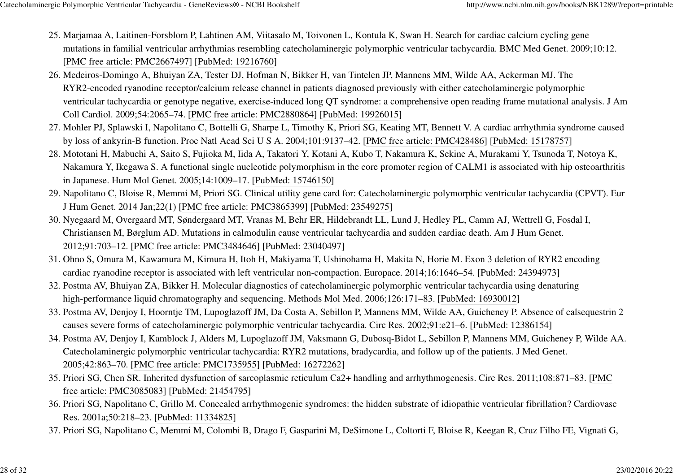- 25. Marjamaa A, Laitinen-Forsblom P, Lahtinen AM, Viitasalo M, Toivonen L, Kontula K, Swan H. Search for cardiac calcium cycling gene mutations in familial ventricular arrhythmias resembling catecholaminergic polymorphic ventricular tachycardia. BMC Med Genet. 2009;10:12.[PMC free article: PMC2667497] [PubMed: 19216760]
- 26. Medeiros-Domingo A, Bhuiyan ZA, Tester DJ, Hofman N, Bikker H, van Tintelen JP, Mannens MM, Wilde AA, Ackerman MJ. The RYR2-encoded ryanodine receptor/calcium release channel in patients diagnosed previously with either catecholaminergic polymorphic ventricular tachycardia or genotype negative, exercise-induced long QT syndrome: a comprehensive open reading frame mutational analysis. J AmColl Cardiol. 2009;54:2065–74. [PMC free article: PMC2880864] [PubMed: 19926015]
- 27. Mohler PJ, Splawski I, Napolitano C, Bottelli G, Sharpe L, Timothy K, Priori SG, Keating MT, Bennett V. A cardiac arrhythmia syndrome caused by loss of ankyrin-B function. Proc Natl Acad Sci U S A. 2004;101:9137–42. [PMC free article: PMC428486] [PubMed: 15178757]
- 28. Mototani H, Mabuchi A, Saito S, Fujioka M, Iida A, Takatori Y, Kotani A, Kubo T, Nakamura K, Sekine A, Murakami Y, Tsunoda T, Notoya K, Nakamura Y, Ikegawa S. A functional single nucleotide polymorphism in the core promoter region of CALM1 is associated with hip osteoarthritisin Japanese. Hum Mol Genet. 2005;14:1009–17. [PubMed: 15746150]
- 29. Napolitano C, Bloise R, Memmi M, Priori SG. Clinical utility gene card for: Catecholaminergic polymorphic ventricular tachycardia (CPVT). Eur J Hum Genet. 2014 Jan;22(1) [PMC free article: PMC3865399] [PubMed: 23549275]
- 30. Nyegaard M, Overgaard MT, Søndergaard MT, Vranas M, Behr ER, Hildebrandt LL, Lund J, Hedley PL, Camm AJ, Wettrell G, Fosdal I, Christiansen M, Børglum AD. Mutations in calmodulin cause ventricular tachycardia and sudden cardiac death. Am J Hum Genet.2012;91:703–12. [PMC free article: PMC3484646] [PubMed: 23040497]
- 31. Ohno S, Omura M, Kawamura M, Kimura H, Itoh H, Makiyama T, Ushinohama H, Makita N, Horie M. Exon 3 deletion of RYR2 encoding cardiac ryanodine receptor is associated with left ventricular non-compaction. Europace. 2014;16:1646–54. [PubMed: 24394973]
- 32. Postma AV, Bhuiyan ZA, Bikker H. Molecular diagnostics of catecholaminergic polymorphic ventricular tachycardia using denaturing high-performance liquid chromatography and sequencing. Methods Mol Med. 2006;126:171–83. [PubMed: 16930012]
- 33. Postma AV, Denjoy I, Hoorntje TM, Lupoglazoff JM, Da Costa A, Sebillon P, Mannens MM, Wilde AA, Guicheney P. Absence of calsequestrin 2 causes severe forms of catecholaminergic polymorphic ventricular tachycardia. Circ Res. 2002;91:e21–6. [PubMed: 12386154]
- 34. Postma AV, Denjoy I, Kamblock J, Alders M, Lupoglazoff JM, Vaksmann G, Dubosq-Bidot L, Sebillon P, Mannens MM, Guicheney P, Wilde AA. Catecholaminergic polymorphic ventricular tachycardia: RYR2 mutations, bradycardia, and follow up of the patients. J Med Genet.2005;42:863–70. [PMC free article: PMC1735955] [PubMed: 16272262]
- 35. Priori SG, Chen SR. Inherited dysfunction of sarcoplasmic reticulum Ca2+ handling and arrhythmogenesis. Circ Res. 2011;108:871–83. [PMC free article: PMC3085083] [PubMed: 21454795]
- 36. Priori SG, Napolitano C, Grillo M. Concealed arrhythmogenic syndromes: the hidden substrate of idiopathic ventricular fibrillation? Cardiovasc Res. 2001a;50:218–23. [PubMed: 11334825]
- 37. Priori SG, Napolitano C, Memmi M, Colombi B, Drago F, Gasparini M, DeSimone L, Coltorti F, Bloise R, Keegan R, Cruz Filho FE, Vignati G,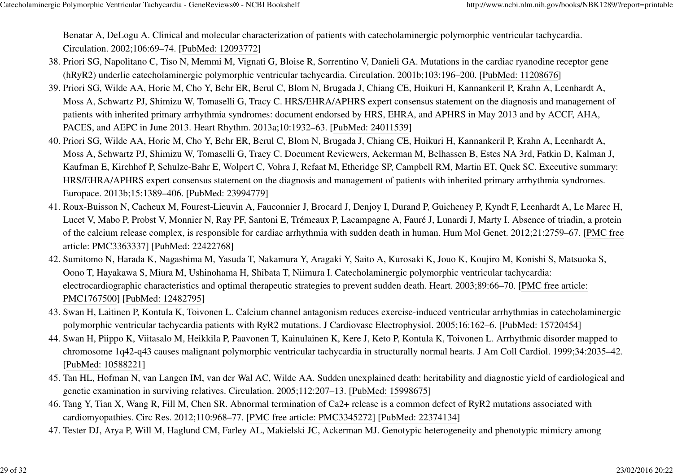Benatar A, DeLogu A. Clinical and molecular characterization of patients with catecholaminergic polymorphic ventricular tachycardia.Circulation. 2002;106:69–74. [PubMed: 12093772]

- 38. Priori SG, Napolitano C, Tiso N, Memmi M, Vignati G, Bloise R, Sorrentino V, Danieli GA. Mutations in the cardiac ryanodine receptor gene (hRyR2) underlie catecholaminergic polymorphic ventricular tachycardia. Circulation. 2001b;103:196–200. [PubMed: 11208676]
- 39. Priori SG, Wilde AA, Horie M, Cho Y, Behr ER, Berul C, Blom N, Brugada J, Chiang CE, Huikuri H, Kannankeril P, Krahn A, Leenhardt A, Moss A, Schwartz PJ, Shimizu W, Tomaselli G, Tracy C. HRS/EHRA/APHRS expert consensus statement on the diagnosis and management ofpatients with inherited primary arrhythmia syndromes: document endorsed by HRS, EHRA, and APHRS in May 2013 and by ACCF, AHA,PACES, and AEPC in June 2013. Heart Rhythm. 2013a;10:1932–63. [PubMed: 24011539]
- 40. Priori SG, Wilde AA, Horie M, Cho Y, Behr ER, Berul C, Blom N, Brugada J, Chiang CE, Huikuri H, Kannankeril P, Krahn A, Leenhardt A, Moss A, Schwartz PJ, Shimizu W, Tomaselli G, Tracy C. Document Reviewers, Ackerman M, Belhassen B, Estes NA 3rd, Fatkin D, Kalman J,Kaufman E, Kirchhof P, Schulze-Bahr E, Wolpert C, Vohra J, Refaat M, Etheridge SP, Campbell RM, Martin ET, Quek SC. Executive summary:HRS/EHRA/APHRS expert consensus statement on the diagnosis and management of patients with inherited primary arrhythmia syndromes.Europace. 2013b;15:1389–406. [PubMed: 23994779]
- 41. Roux-Buisson N, Cacheux M, Fourest-Lieuvin A, Fauconnier J, Brocard J, Denjoy I, Durand P, Guicheney P, Kyndt F, Leenhardt A, Le Marec H, Lucet V, Mabo P, Probst V, Monnier N, Ray PF, Santoni E, Trémeaux P, Lacampagne A, Fauré J, Lunardi J, Marty I. Absence of triadin, a protein of the calcium release complex, is responsible for cardiac arrhythmia with sudden death in human. Hum Mol Genet. 2012;21:2759–67. [PMC freearticle: PMC3363337] [PubMed: 22422768]
- 42. Sumitomo N, Harada K, Nagashima M, Yasuda T, Nakamura Y, Aragaki Y, Saito A, Kurosaki K, Jouo K, Koujiro M, Konishi S, Matsuoka S, Oono T, Hayakawa S, Miura M, Ushinohama H, Shibata T, Niimura I. Catecholaminergic polymorphic ventricular tachycardia:electrocardiographic characteristics and optimal therapeutic strategies to prevent sudden death. Heart. 2003;89:66–70. [PMC free article:PMC1767500] [PubMed: 12482795]
- 43. Swan H, Laitinen P, Kontula K, Toivonen L. Calcium channel antagonism reduces exercise-induced ventricular arrhythmias in catecholaminergic polymorphic ventricular tachycardia patients with RyR2 mutations. J Cardiovasc Electrophysiol. 2005;16:162–6. [PubMed: 15720454]
- 44. Swan H, Piippo K, Viitasalo M, Heikkila P, Paavonen T, Kainulainen K, Kere J, Keto P, Kontula K, Toivonen L. Arrhythmic disorder mapped to chromosome 1q42-q43 causes malignant polymorphic ventricular tachycardia in structurally normal hearts. J Am Coll Cardiol. 1999;34:2035–42.[PubMed: 10588221]
- 45. Tan HL, Hofman N, van Langen IM, van der Wal AC, Wilde AA. Sudden unexplained death: heritability and diagnostic yield of cardiological and genetic examination in surviving relatives. Circulation. 2005;112:207–13. [PubMed: 15998675]
- 46. Tang Y, Tian X, Wang R, Fill M, Chen SR. Abnormal termination of Ca2+ release is a common defect of RyR2 mutations associated with cardiomyopathies. Circ Res. 2012;110:968–77. [PMC free article: PMC3345272] [PubMed: 22374134]
- 47. Tester DJ, Arya P, Will M, Haglund CM, Farley AL, Makielski JC, Ackerman MJ. Genotypic heterogeneity and phenotypic mimicry among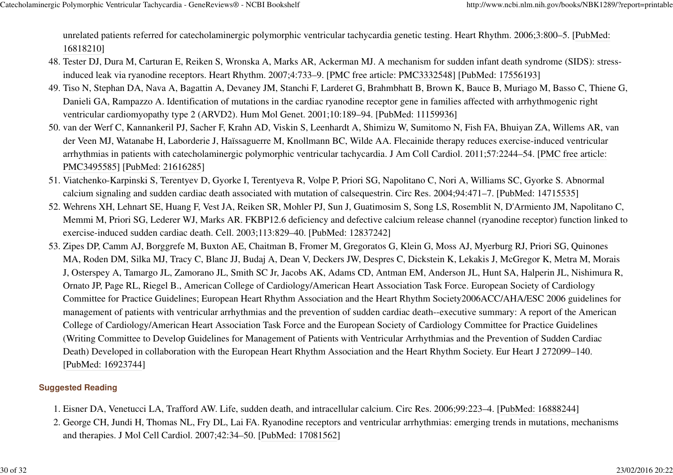unrelated patients referred for catecholaminergic polymorphic ventricular tachycardia genetic testing. Heart Rhythm. 2006;3:800–5. [PubMed:16818210]

- Tester DJ, Dura M, Carturan E, Reiken S, Wronska A, Marks AR, Ackerman MJ. A mechanism for sudden infant death syndrome (SIDS): stress-48. Tester DJ, Dura M, Carturan E, Reiken S, Wronska A, Marks AR, Ackerman MJ. A mechanism for sudden infant death synd<br>17556193] induced leak via ryanodine receptors. Heart Rhythm. 2007;4:733–9. [PMC free article: PMC3332
- Tiso N, Stephan DA, Nava A, Bagattin A, Devaney JM, Stanchi F, Larderet G, Brahmbhatt B, Brown K, Bauce B, Muriago M, Basso C, Thiene G,49. Danieli GA, Rampazzo A. Identification of mutations in the cardiac ryanodine receptor gene in families affected with arrhythmogenic rightventricular cardiomyopathy type 2 (ARVD2). Hum Mol Genet. 2001;10:189–94. [PubMed: 11159936]
- 50. van der Werf C, Kannankeril PJ, Sacher F, Krahn AD, Viskin S, Leenhardt A, Shimizu W, Sumitomo N, Fish FA, Bhuiyan ZA, Willems AR, van der Veen MJ, Watanabe H, Laborderie J, Haïssaguerre M, Knollmann BC, Wilde AA. Flecainide therapy reduces exercise-induced ventriculararrhythmias in patients with catecholaminergic polymorphic ventricular tachycardia. J Am Coll Cardiol. 2011;57:2244–54. [PMC free article:PMC3495585] [PubMed: 21616285]
- 51. Viatchenko-Karpinski S, Terentyev D, Gyorke I, Terentyeva R, Volpe P, Priori SG, Napolitano C, Nori A, Williams SC, Gyorke S. Abnormal calcium signaling and sudden cardiac death associated with mutation of calsequestrin. Circ Res. 2004;94:471–7. [PubMed: 14715535]
- 52. Wehrens XH, Lehnart SE, Huang F, Vest JA, Reiken SR, Mohler PJ, Sun J, Guatimosim S, Song LS, Rosemblit N, D'Armiento JM, Napolitano C, Memmi M, Priori SG, Lederer WJ, Marks AR. FKBP12.6 deficiency and defective calcium release channel (ryanodine receptor) function linked toexercise-induced sudden cardiac death. Cell. 2003;113:829–40. [PubMed: 12837242]
- 53. Zipes DP, Camm AJ, Borggrefe M, Buxton AE, Chaitman B, Fromer M, Gregoratos G, Klein G, Moss AJ, Myerburg RJ, Priori SG, Quinones MA, Roden DM, Silka MJ, Tracy C, Blanc JJ, Budaj A, Dean V, Deckers JW, Despres C, Dickstein K, Lekakis J, McGregor K, Metra M, MoraisJ, Osterspey A, Tamargo JL, Zamorano JL, Smith SC Jr, Jacobs AK, Adams CD, Antman EM, Anderson JL, Hunt SA, Halperin JL, Nishimura R,Ornato JP, Page RL, Riegel B., American College of Cardiology/American Heart Association Task Force. European Society of Cardiology Committee for Practice Guidelines; European Heart Rhythm Association and the Heart Rhythm Society2006ACC/AHA/ESC 2006 guidelines formanagement of patients with ventricular arrhythmias and the prevention of sudden cardiac death--executive summary: A report of the AmericanCollege of Cardiology/American Heart Association Task Force and the European Society of Cardiology Committee for Practice Guidelines(Writing Committee to Develop Guidelines for Management of Patients with Ventricular Arrhythmias and the Prevention of Sudden CardiacDeath) Developed in collaboration with the European Heart Rhythm Association and the Heart Rhythm Society. Eur Heart J 272099–140.[PubMed: 16923744]

### **Suggested Reading**

- 1. Eisner DA, Venetucci LA, Trafford AW. Life, sudden death, and intracellular calcium. Circ Res. 2006;99:223–4. [PubMed: 16888244]
- 2. George CH, Jundi H, Thomas NL, Fry DL, Lai FA. Ryanodine receptors and ventricular arrhythmias: emerging trends in mutations, mechanisms and therapies. J Mol Cell Cardiol. 2007;42:34–50. [PubMed: 17081562]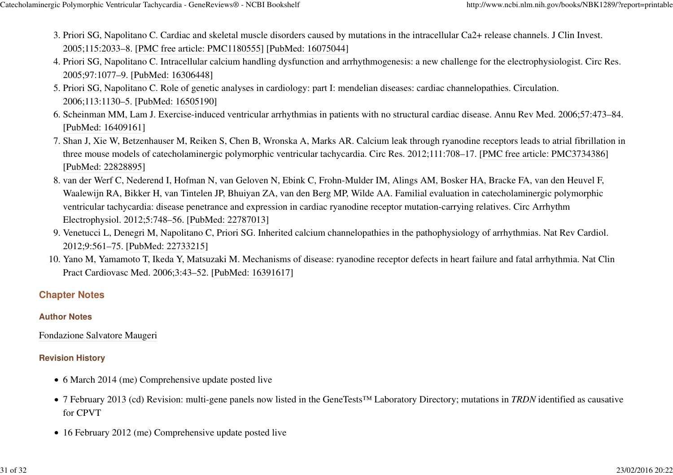- 3. Priori SG, Napolitano C. Cardiac and skeletal muscle disorders caused by mutations in the intracellular Ca2+ release channels. J Clin Invest. 2005;115:2033–8. [PMC free article: PMC1180555] [PubMed: 16075044]
- 4. Priori SG, Napolitano C. Intracellular calcium handling dysfunction and arrhythmogenesis: a new challenge for the electrophysiologist. Circ Res. 2005;97:1077–9. [PubMed: 16306448]
- 5. Priori SG, Napolitano C. Role of genetic analyses in cardiology: part I: mendelian diseases: cardiac channelopathies. Circulation. 2006;113:1130–5. [PubMed: 16505190]
- Scheinman MM, Lam J. Exercise-induced ventricular arrhythmias in patients with no structural cardiac disease. Annu Rev Med. 2006;57:473–84.6. [PubMed: 16409161]
- 7. Shan J, Xie W, Betzenhauser M, Reiken S, Chen B, Wronska A, Marks AR. Calcium leak through ryanodine receptors leads to atrial fibrillation in three mouse models of catecholaminergic polymorphic ventricular tachycardia. Circ Res. 2012;111:708–17. [PMC free article: PMC3734386][PubMed: 22828895]
- 8. van der Werf C, Nederend I, Hofman N, van Geloven N, Ebink C, Frohn-Mulder IM, Alings AM, Bosker HA, Bracke FA, van den Heuvel F, Waalewijn RA, Bikker H, van Tintelen JP, Bhuiyan ZA, van den Berg MP, Wilde AA. Familial evaluation in catecholaminergic polymorphicventricular tachycardia: disease penetrance and expression in cardiac ryanodine receptor mutation-carrying relatives. Circ ArrhythmElectrophysiol. 2012;5:748–56. [PubMed: 22787013]
- 9. Venetucci L, Denegri M, Napolitano C, Priori SG. Inherited calcium channelopathies in the pathophysiology of arrhythmias. Nat Rev Cardiol. 2012;9:561–75. [PubMed: 22733215]
- 10. Yano M, Yamamoto T, Ikeda Y, Matsuzaki M. Mechanisms of disease: ryanodine receptor defects in heart failure and fatal arrhythmia. Nat Clin Pract Cardiovasc Med. 2006;3:43–52. [PubMed: 16391617]

## **Chapter Notes**

#### **Author Notes**

Fondazione Salvatore Maugeri

## **Revision History**

- 6 March 2014 (me) Comprehensive update posted live
- 7 February 2013 (cd) Revision: multi-gene panels now listed in the GeneTests™ Laboratory Directory; mutations in *TRDN* identified as causativefor CPVT
- 16 February 2012 (me) Comprehensive update posted live